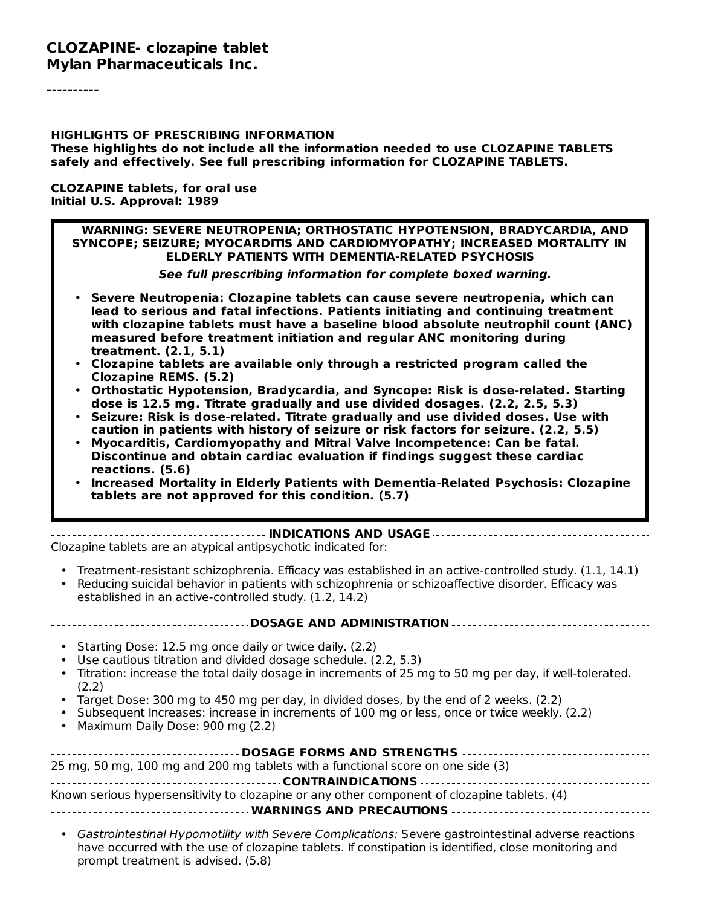#### **CLOZAPINE- clozapine tablet Mylan Pharmaceuticals Inc.**

#### **HIGHLIGHTS OF PRESCRIBING INFORMATION**

**These highlights do not include all the information needed to use CLOZAPINE TABLETS safely and effectively. See full prescribing information for CLOZAPINE TABLETS.**

**CLOZAPINE tablets, for oral use Initial U.S. Approval: 1989**

#### **WARNING: SEVERE NEUTROPENIA; ORTHOSTATIC HYPOTENSION, BRADYCARDIA, AND SYNCOPE; SEIZURE; MYOCARDITIS AND CARDIOMYOPATHY; INCREASED MORTALITY IN ELDERLY PATIENTS WITH DEMENTIA-RELATED PSYCHOSIS**

**See full prescribing information for complete boxed warning.**

- **Severe Neutropenia: Clozapine tablets can cause severe neutropenia, which can lead to serious and fatal infections. Patients initiating and continuing treatment with clozapine tablets must have a baseline blood absolute neutrophil count (ANC) measured before treatment initiation and regular ANC monitoring during treatment. (2.1, 5.1)**
- **Clozapine tablets are available only through a restricted program called the Clozapine REMS. (5.2)**
- **Orthostatic Hypotension, Bradycardia, and Syncope: Risk is dose-related. Starting dose is 12.5 mg. Titrate gradually and use divided dosages. (2.2, 2.5, 5.3)**
- **Seizure: Risk is dose-related. Titrate gradually and use divided doses. Use with caution in patients with history of seizure or risk factors for seizure. (2.2, 5.5)**
- **Myocarditis, Cardiomyopathy and Mitral Valve Incompetence: Can be fatal. Discontinue and obtain cardiac evaluation if findings suggest these cardiac reactions. (5.6)**
- **Increased Mortality in Elderly Patients with Dementia-Related Psychosis: Clozapine tablets are not approved for this condition. (5.7)**

**INDICATIONS AND USAGE** Clozapine tablets are an atypical antipsychotic indicated for:

- Treatment-resistant schizophrenia. Efficacy was established in an active-controlled study. (1.1, 14.1)
- Reducing suicidal behavior in patients with schizophrenia or schizoaffective disorder. Efficacy was established in an active-controlled study. (1.2, 14.2)

#### **DOSAGE AND ADMINISTRATION**

- Starting Dose: 12.5 mg once daily or twice daily. (2.2)
- Use cautious titration and divided dosage schedule. (2.2, 5.3)
- Titration: increase the total daily dosage in increments of 25 mg to 50 mg per day, if well-tolerated. (2.2)
- Target Dose: 300 mg to 450 mg per day, in divided doses, by the end of 2 weeks. (2.2)
- Subsequent Increases: increase in increments of 100 mg or less, once or twice weekly. (2.2)
- Maximum Daily Dose: 900 mg (2.2)

| 25 mg, 50 mg, 100 mg and 200 mg tablets with a functional score on one side (3)              |
|----------------------------------------------------------------------------------------------|
|                                                                                              |
| Known serious hypersensitivity to clozapine or any other component of clozapine tablets. (4) |
|                                                                                              |

• Gastrointestinal Hypomotility with Severe Complications: Severe gastrointestinal adverse reactions have occurred with the use of clozapine tablets. If constipation is identified, close monitoring and prompt treatment is advised. (5.8)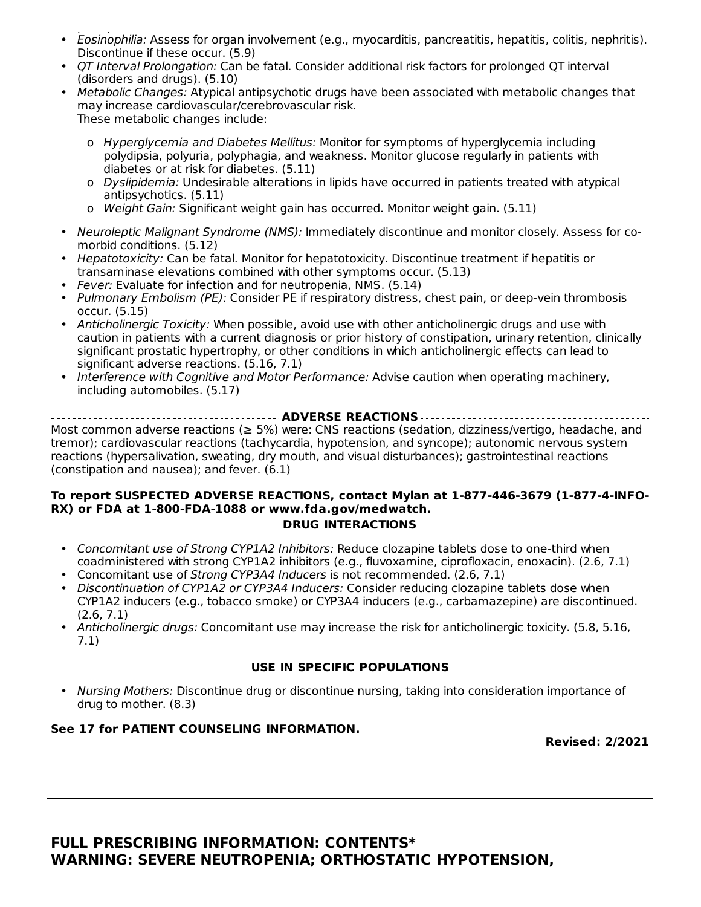- Eosinophilia: Assess for organ involvement (e.g., myocarditis, pancreatitis, hepatitis, colitis, nephritis). prompt treatment is advised. (5.8) Discontinue if these occur. (5.9)
- QT Interval Prolongation: Can be fatal. Consider additional risk factors for prolonged QT interval (disorders and drugs). (5.10)
- Metabolic Changes: Atypical antipsychotic drugs have been associated with metabolic changes that may increase cardiovascular/cerebrovascular risk. These metabolic changes include:
	- o Hyperglycemia and Diabetes Mellitus: Monitor for symptoms of hyperglycemia including polydipsia, polyuria, polyphagia, and weakness. Monitor glucose regularly in patients with diabetes or at risk for diabetes. (5.11)
	- o Dyslipidemia: Undesirable alterations in lipids have occurred in patients treated with atypical antipsychotics. (5.11)
	- o Weight Gain: Significant weight gain has occurred. Monitor weight gain. (5.11)
- Neuroleptic Malignant Syndrome (NMS): Immediately discontinue and monitor closely. Assess for comorbid conditions. (5.12)
- Hepatotoxicity: Can be fatal. Monitor for hepatotoxicity. Discontinue treatment if hepatitis or transaminase elevations combined with other symptoms occur. (5.13)
- Fever: Evaluate for infection and for neutropenia, NMS. (5.14)
- Pulmonary Embolism (PE): Consider PE if respiratory distress, chest pain, or deep-vein thrombosis occur. (5.15)
- Anticholinergic Toxicity: When possible, avoid use with other anticholinergic drugs and use with caution in patients with a current diagnosis or prior history of constipation, urinary retention, clinically significant prostatic hypertrophy, or other conditions in which anticholinergic effects can lead to significant adverse reactions. (5.16, 7.1)
- Interference with Cognitive and Motor Performance: Advise caution when operating machinery, including automobiles. (5.17)

**ADVERSE REACTIONS** Most common adverse reactions (≥ 5%) were: CNS reactions (sedation, dizziness/vertigo, headache, and tremor); cardiovascular reactions (tachycardia, hypotension, and syncope); autonomic nervous system reactions (hypersalivation, sweating, dry mouth, and visual disturbances); gastrointestinal reactions (constipation and nausea); and fever. (6.1)

#### **To report SUSPECTED ADVERSE REACTIONS, contact Mylan at 1-877-446-3679 (1-877-4-INFO-RX) or FDA at 1-800-FDA-1088 or www.fda.gov/medwatch.**

**DRUG INTERACTIONS**

- Concomitant use of Strong CYP1A2 Inhibitors: Reduce clozapine tablets dose to one-third when coadministered with strong CYP1A2 inhibitors (e.g., fluvoxamine, ciprofloxacin, enoxacin). (2.6, 7.1)
- Concomitant use of Strong CYP3A4 Inducers is not recommended. (2.6, 7.1)
- Discontinuation of CYP1A2 or CYP3A4 Inducers: Consider reducing clozapine tablets dose when CYP1A2 inducers (e.g., tobacco smoke) or CYP3A4 inducers (e.g., carbamazepine) are discontinued. (2.6, 7.1)
- Anticholinergic drugs: Concomitant use may increase the risk for anticholinergic toxicity. (5.8, 5.16, 7.1)
- **USE IN SPECIFIC POPULATIONS**
- Nursing Mothers: Discontinue drug or discontinue nursing, taking into consideration importance of drug to mother. (8.3)

#### **See 17 for PATIENT COUNSELING INFORMATION.**

**Revised: 2/2021**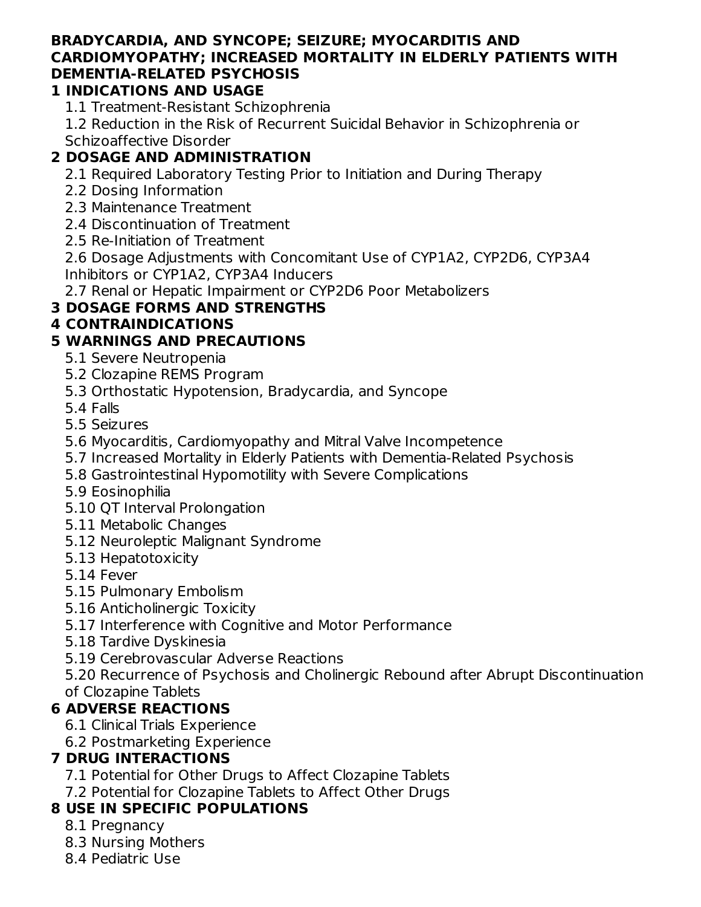#### **BRADYCARDIA, AND SYNCOPE; SEIZURE; MYOCARDITIS AND CARDIOMYOPATHY; INCREASED MORTALITY IN ELDERLY PATIENTS WITH DEMENTIA-RELATED PSYCHOSIS**

### **1 INDICATIONS AND USAGE**

1.1 Treatment-Resistant Schizophrenia

1.2 Reduction in the Risk of Recurrent Suicidal Behavior in Schizophrenia or Schizoaffective Disorder

# **2 DOSAGE AND ADMINISTRATION**

2.1 Required Laboratory Testing Prior to Initiation and During Therapy

- 2.2 Dosing Information
- 2.3 Maintenance Treatment
- 2.4 Discontinuation of Treatment
- 2.5 Re-Initiation of Treatment

2.6 Dosage Adjustments with Concomitant Use of CYP1A2, CYP2D6, CYP3A4 Inhibitors or CYP1A2, CYP3A4 Inducers

2.7 Renal or Hepatic Impairment or CYP2D6 Poor Metabolizers

# **3 DOSAGE FORMS AND STRENGTHS**

### **4 CONTRAINDICATIONS**

# **5 WARNINGS AND PRECAUTIONS**

- 5.1 Severe Neutropenia
- 5.2 Clozapine REMS Program
- 5.3 Orthostatic Hypotension, Bradycardia, and Syncope

5.4 Falls

- 5.5 Seizures
- 5.6 Myocarditis, Cardiomyopathy and Mitral Valve Incompetence
- 5.7 Increased Mortality in Elderly Patients with Dementia-Related Psychosis
- 5.8 Gastrointestinal Hypomotility with Severe Complications
- 5.9 Eosinophilia
- 5.10 QT Interval Prolongation
- 5.11 Metabolic Changes
- 5.12 Neuroleptic Malignant Syndrome
- 5.13 Hepatotoxicity
- 5.14 Fever
- 5.15 Pulmonary Embolism
- 5.16 Anticholinergic Toxicity
- 5.17 Interference with Cognitive and Motor Performance
- 5.18 Tardive Dyskinesia
- 5.19 Cerebrovascular Adverse Reactions
- 5.20 Recurrence of Psychosis and Cholinergic Rebound after Abrupt Discontinuation of Clozapine Tablets

# **6 ADVERSE REACTIONS**

- 6.1 Clinical Trials Experience
- 6.2 Postmarketing Experience

# **7 DRUG INTERACTIONS**

- 7.1 Potential for Other Drugs to Affect Clozapine Tablets
- 7.2 Potential for Clozapine Tablets to Affect Other Drugs

# **8 USE IN SPECIFIC POPULATIONS**

- 8.1 Pregnancy
- 8.3 Nursing Mothers
- 8.4 Pediatric Use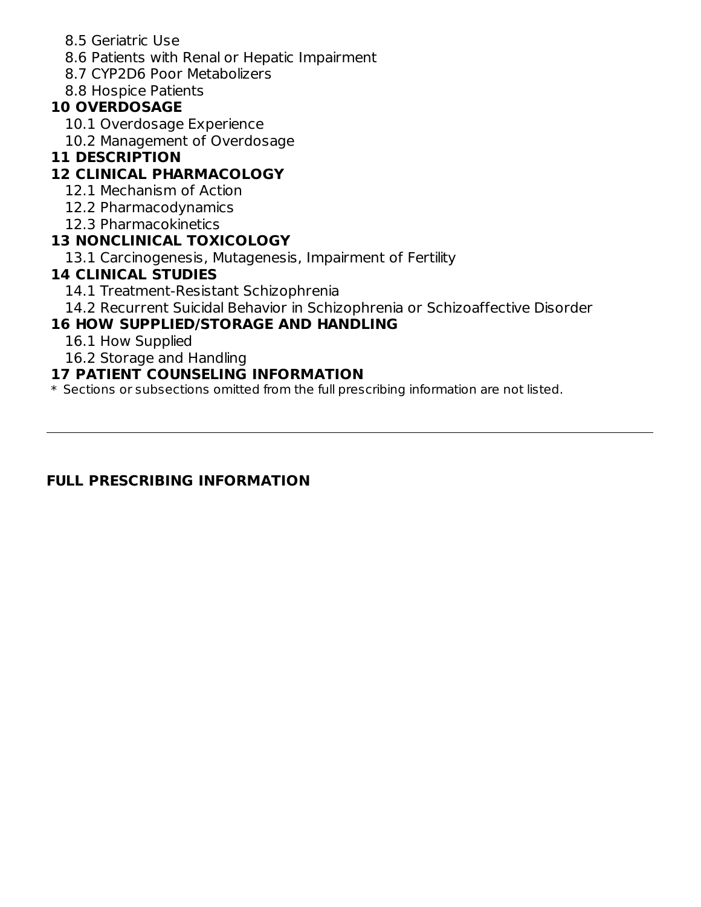- 8.5 Geriatric Use
- 8.6 Patients with Renal or Hepatic Impairment
- 8.7 CYP2D6 Poor Metabolizers
- 8.8 Hospice Patients

#### **10 OVERDOSAGE**

- 10.1 Overdosage Experience
- 10.2 Management of Overdosage

#### **11 DESCRIPTION**

### **12 CLINICAL PHARMACOLOGY**

- 12.1 Mechanism of Action
- 12.2 Pharmacodynamics
- 12.3 Pharmacokinetics

#### **13 NONCLINICAL TOXICOLOGY**

13.1 Carcinogenesis, Mutagenesis, Impairment of Fertility

#### **14 CLINICAL STUDIES**

- 14.1 Treatment-Resistant Schizophrenia
- 14.2 Recurrent Suicidal Behavior in Schizophrenia or Schizoaffective Disorder

### **16 HOW SUPPLIED/STORAGE AND HANDLING**

- 16.1 How Supplied
- 16.2 Storage and Handling

#### **17 PATIENT COUNSELING INFORMATION**

\* Sections or subsections omitted from the full prescribing information are not listed.

#### **FULL PRESCRIBING INFORMATION**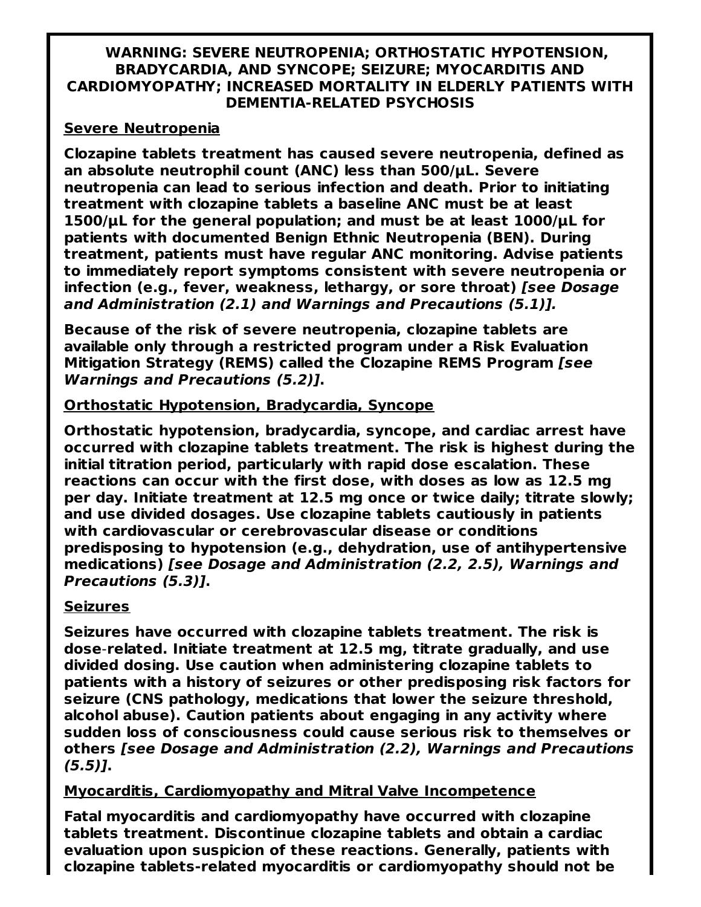#### **WARNING: SEVERE NEUTROPENIA; ORTHOSTATIC HYPOTENSION, BRADYCARDIA, AND SYNCOPE; SEIZURE; MYOCARDITIS AND CARDIOMYOPATHY; INCREASED MORTALITY IN ELDERLY PATIENTS WITH DEMENTIA-RELATED PSYCHOSIS**

#### **Severe Neutropenia**

**Clozapine tablets treatment has caused severe neutropenia, defined as an absolute neutrophil count (ANC) less than 500/μL. Severe neutropenia can lead to serious infection and death. Prior to initiating treatment with clozapine tablets a baseline ANC must be at least 1500/μL for the general population; and must be at least 1000/μL for patients with documented Benign Ethnic Neutropenia (BEN). During treatment, patients must have regular ANC monitoring. Advise patients to immediately report symptoms consistent with severe neutropenia or infection (e.g., fever, weakness, lethargy, or sore throat) [see Dosage and Administration (2.1) and Warnings and Precautions (5.1)].**

**Because of the risk of severe neutropenia, clozapine tablets are available only through a restricted program under a Risk Evaluation Mitigation Strategy (REMS) called the Clozapine REMS Program [see Warnings and Precautions (5.2)].**

#### **Orthostatic Hypotension, Bradycardia, Syncope**

**Orthostatic hypotension, bradycardia, syncope, and cardiac arrest have occurred with clozapine tablets treatment. The risk is highest during the initial titration period, particularly with rapid dose escalation. These reactions can occur with the first dose, with doses as low as 12.5 mg per day. Initiate treatment at 12.5 mg once or twice daily; titrate slowly; and use divided dosages. Use clozapine tablets cautiously in patients with cardiovascular or cerebrovascular disease or conditions predisposing to hypotension (e.g., dehydration, use of antihypertensive medications) [see Dosage and Administration (2.2, 2.5), Warnings and Precautions (5.3)].**

#### **Seizures**

**Seizures have occurred with clozapine tablets treatment. The risk is dose**-**related. Initiate treatment at 12.5 mg, titrate gradually, and use divided dosing. Use caution when administering clozapine tablets to patients with a history of seizures or other predisposing risk factors for seizure (CNS pathology, medications that lower the seizure threshold, alcohol abuse). Caution patients about engaging in any activity where sudden loss of consciousness could cause serious risk to themselves or others [see Dosage and Administration (2.2), Warnings and Precautions (5.5)].**

#### **Myocarditis, Cardiomyopathy and Mitral Valve Incompetence**

**Fatal myocarditis and cardiomyopathy have occurred with clozapine tablets treatment. Discontinue clozapine tablets and obtain a cardiac evaluation upon suspicion of these reactions. Generally, patients with clozapine tablets-related myocarditis or cardiomyopathy should not be**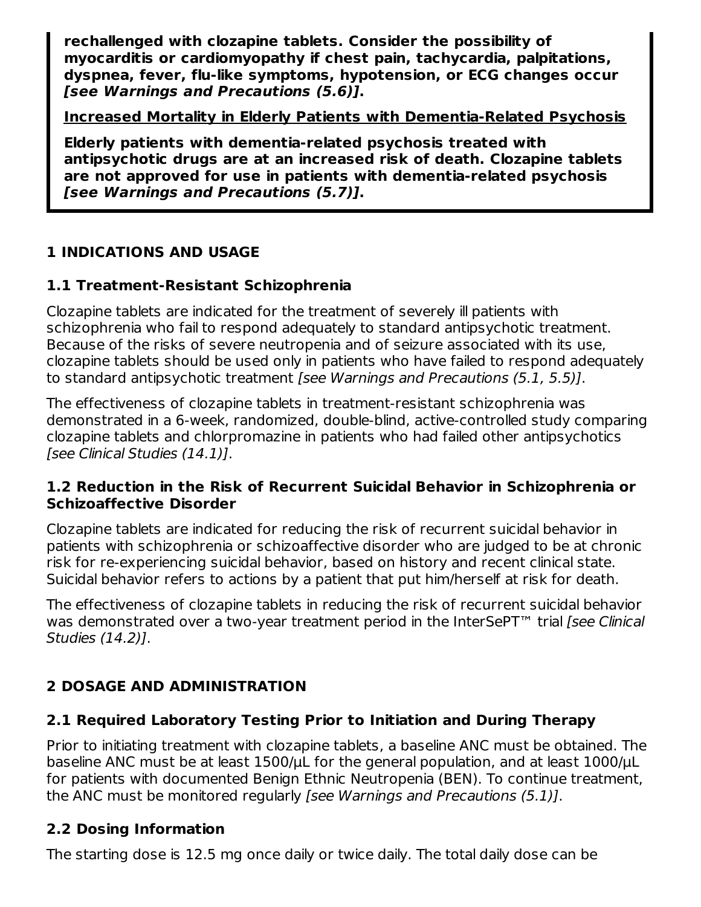**rechallenged with clozapine tablets. Consider the possibility of myocarditis or cardiomyopathy if chest pain, tachycardia, palpitations, dyspnea, fever, flu-like symptoms, hypotension, or ECG changes occur [see Warnings and Precautions (5.6)].**

**Increased Mortality in Elderly Patients with Dementia-Related Psychosis**

**Elderly patients with dementia-related psychosis treated with antipsychotic drugs are at an increased risk of death. Clozapine tablets are not approved for use in patients with dementia-related psychosis [see Warnings and Precautions (5.7)].**

# **1 INDICATIONS AND USAGE**

# **1.1 Treatment-Resistant Schizophrenia**

Clozapine tablets are indicated for the treatment of severely ill patients with schizophrenia who fail to respond adequately to standard antipsychotic treatment. Because of the risks of severe neutropenia and of seizure associated with its use, clozapine tablets should be used only in patients who have failed to respond adequately to standard antipsychotic treatment [see Warnings and Precautions (5.1, 5.5)].

The effectiveness of clozapine tablets in treatment-resistant schizophrenia was demonstrated in a 6-week, randomized, double-blind, active-controlled study comparing clozapine tablets and chlorpromazine in patients who had failed other antipsychotics [see Clinical Studies (14.1)].

#### **1.2 Reduction in the Risk of Recurrent Suicidal Behavior in Schizophrenia or Schizoaffective Disorder**

Clozapine tablets are indicated for reducing the risk of recurrent suicidal behavior in patients with schizophrenia or schizoaffective disorder who are judged to be at chronic risk for re-experiencing suicidal behavior, based on history and recent clinical state. Suicidal behavior refers to actions by a patient that put him/herself at risk for death.

The effectiveness of clozapine tablets in reducing the risk of recurrent suicidal behavior was demonstrated over a two-year treatment period in the InterSePT<sup>™</sup> trial [see Clinical Studies (14.2)].

# **2 DOSAGE AND ADMINISTRATION**

# **2.1 Required Laboratory Testing Prior to Initiation and During Therapy**

Prior to initiating treatment with clozapine tablets, a baseline ANC must be obtained. The baseline ANC must be at least 1500/μL for the general population, and at least 1000/μL for patients with documented Benign Ethnic Neutropenia (BEN). To continue treatment, the ANC must be monitored regularly [see Warnings and Precautions (5.1)].

# **2.2 Dosing Information**

The starting dose is 12.5 mg once daily or twice daily. The total daily dose can be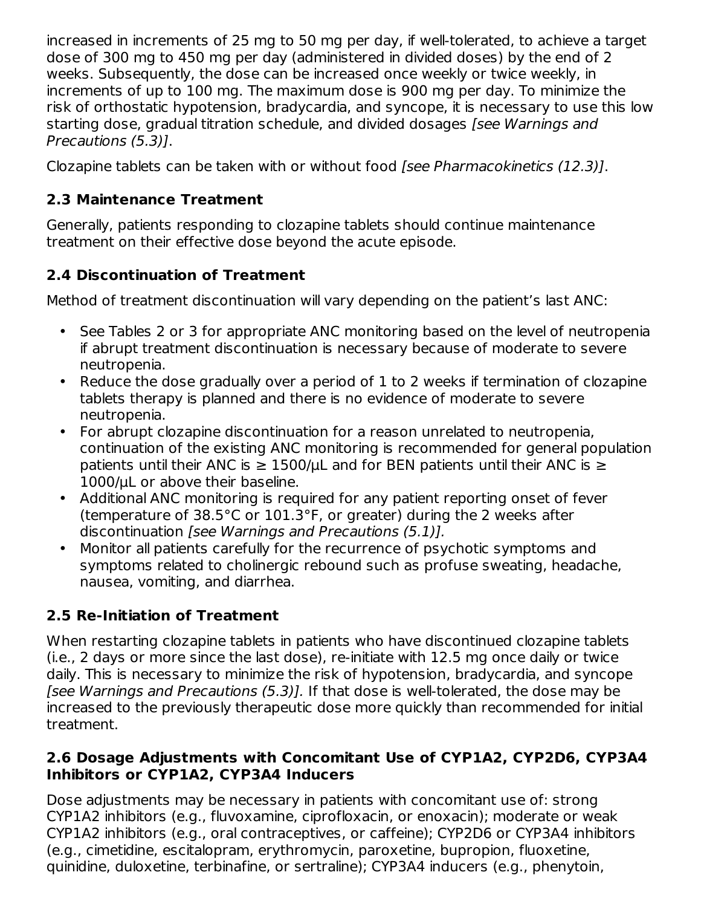increased in increments of 25 mg to 50 mg per day, if well-tolerated, to achieve a target dose of 300 mg to 450 mg per day (administered in divided doses) by the end of 2 weeks. Subsequently, the dose can be increased once weekly or twice weekly, in increments of up to 100 mg. The maximum dose is 900 mg per day. To minimize the risk of orthostatic hypotension, bradycardia, and syncope, it is necessary to use this low starting dose, gradual titration schedule, and divided dosages [see Warnings and Precautions (5.3)].

Clozapine tablets can be taken with or without food [see Pharmacokinetics (12.3)].

# **2.3 Maintenance Treatment**

Generally, patients responding to clozapine tablets should continue maintenance treatment on their effective dose beyond the acute episode.

# **2.4 Discontinuation of Treatment**

Method of treatment discontinuation will vary depending on the patient's last ANC:

- See Tables 2 or 3 for appropriate ANC monitoring based on the level of neutropenia if abrupt treatment discontinuation is necessary because of moderate to severe neutropenia.
- Reduce the dose gradually over a period of 1 to 2 weeks if termination of clozapine tablets therapy is planned and there is no evidence of moderate to severe neutropenia.
- For abrupt clozapine discontinuation for a reason unrelated to neutropenia, continuation of the existing ANC monitoring is recommended for general population patients until their ANC is  $\geq$  1500/µL and for BEN patients until their ANC is  $\geq$ 1000/μL or above their baseline.
- Additional ANC monitoring is required for any patient reporting onset of fever (temperature of 38.5°C or 101.3°F, or greater) during the 2 weeks after discontinuation [see Warnings and Precautions (5.1)].
- Monitor all patients carefully for the recurrence of psychotic symptoms and symptoms related to cholinergic rebound such as profuse sweating, headache, nausea, vomiting, and diarrhea.

# **2.5 Re-Initiation of Treatment**

When restarting clozapine tablets in patients who have discontinued clozapine tablets (i.e., 2 days or more since the last dose), re-initiate with 12.5 mg once daily or twice daily. This is necessary to minimize the risk of hypotension, bradycardia, and syncope [see Warnings and Precautions (5.3)]. If that dose is well-tolerated, the dose may be increased to the previously therapeutic dose more quickly than recommended for initial treatment.

#### **2.6 Dosage Adjustments with Concomitant Use of CYP1A2, CYP2D6, CYP3A4 Inhibitors or CYP1A2, CYP3A4 Inducers**

Dose adjustments may be necessary in patients with concomitant use of: strong CYP1A2 inhibitors (e.g., fluvoxamine, ciprofloxacin, or enoxacin); moderate or weak CYP1A2 inhibitors (e.g., oral contraceptives, or caffeine); CYP2D6 or CYP3A4 inhibitors (e.g., cimetidine, escitalopram, erythromycin, paroxetine, bupropion, fluoxetine, quinidine, duloxetine, terbinafine, or sertraline); CYP3A4 inducers (e.g., phenytoin,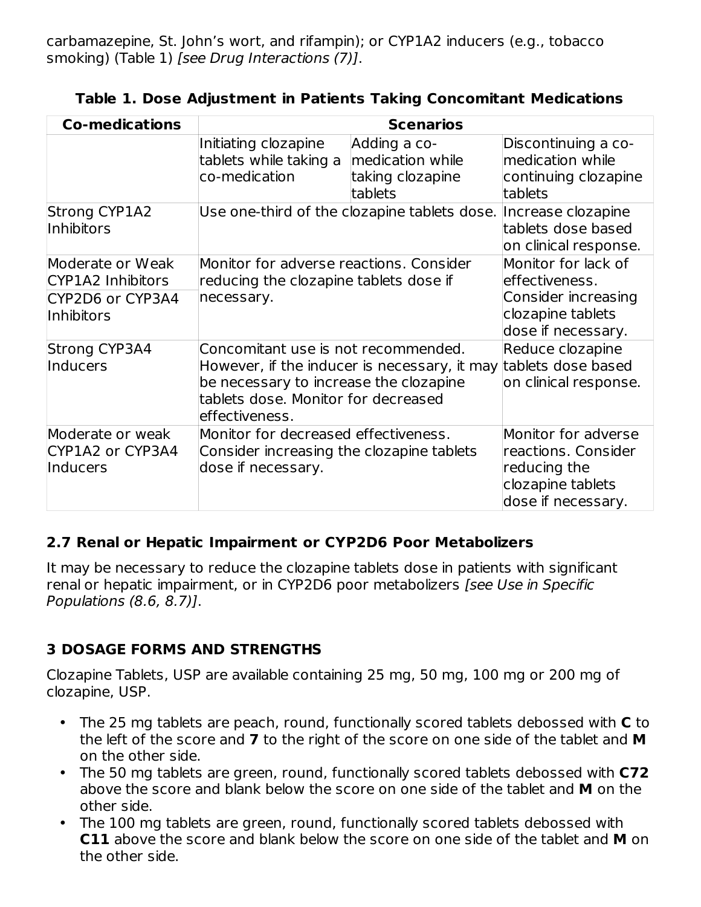carbamazepine, St. John's wort, and rifampin); or CYP1A2 inducers (e.g., tobacco smoking) (Table 1) [see Drug Interactions (7)].

| <b>Co-medications</b>                                                   |                                                                                                                                         | <b>Scenarios</b>                                                |                                                                                                         |
|-------------------------------------------------------------------------|-----------------------------------------------------------------------------------------------------------------------------------------|-----------------------------------------------------------------|---------------------------------------------------------------------------------------------------------|
|                                                                         | Initiating clozapine<br>tablets while taking a<br>co-medication                                                                         | Adding a co-<br>medication while<br>taking clozapine<br>tablets | Discontinuing a co-<br>medication while<br>continuing clozapine<br>tablets                              |
| <b>Strong CYP1A2</b><br>Inhibitors                                      |                                                                                                                                         | Use one-third of the clozapine tablets dose. Increase clozapine | tablets dose based<br>on clinical response.                                                             |
| Moderate or Weak<br>CYP1A2 Inhibitors<br>CYP2D6 or CYP3A4<br>Inhibitors | Monitor for adverse reactions. Consider<br>reducing the clozapine tablets dose if<br>necessary.                                         |                                                                 | Monitor for lack of<br>effectiveness.<br>Consider increasing<br>clozapine tablets<br>dose if necessary. |
| Strong CYP3A4<br>Inducers                                               | Concomitant use is not recommended.<br>be necessary to increase the clozapine<br>tablets dose. Monitor for decreased<br>leffectiveness. | However, if the inducer is necessary, it may                    | Reduce clozapine<br>tablets dose based<br>on clinical response.                                         |
| Moderate or weak<br>CYP1A2 or CYP3A4<br>Inducers                        | Monitor for decreased effectiveness.<br>Consider increasing the clozapine tablets<br>dose if necessary.                                 |                                                                 | Monitor for adverse<br>reactions. Consider<br>reducing the<br>clozapine tablets<br>dose if necessary.   |

**Table 1. Dose Adjustment in Patients Taking Concomitant Medications**

#### **2.7 Renal or Hepatic Impairment or CYP2D6 Poor Metabolizers**

It may be necessary to reduce the clozapine tablets dose in patients with significant renal or hepatic impairment, or in CYP2D6 poor metabolizers [see Use in Specific Populations (8.6, 8.7)].

#### **3 DOSAGE FORMS AND STRENGTHS**

Clozapine Tablets, USP are available containing 25 mg, 50 mg, 100 mg or 200 mg of clozapine, USP.

- The 25 mg tablets are peach, round, functionally scored tablets debossed with **C** to the left of the score and **7** to the right of the score on one side of the tablet and **M** on the other side.
- The 50 mg tablets are green, round, functionally scored tablets debossed with **C72** above the score and blank below the score on one side of the tablet and **M** on the other side.
- The 100 mg tablets are green, round, functionally scored tablets debossed with **C11** above the score and blank below the score on one side of the tablet and **M** on the other side.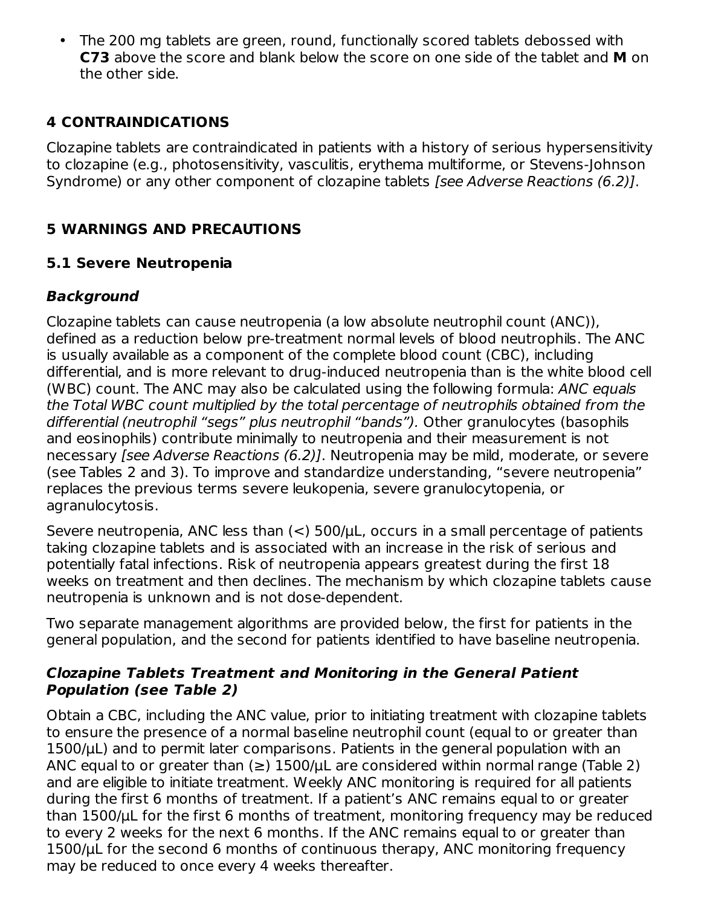• The 200 mg tablets are green, round, functionally scored tablets debossed with **C73** above the score and blank below the score on one side of the tablet and **M** on the other side.

### **4 CONTRAINDICATIONS**

Clozapine tablets are contraindicated in patients with a history of serious hypersensitivity to clozapine (e.g., photosensitivity, vasculitis, erythema multiforme, or Stevens-Johnson Syndrome) or any other component of clozapine tablets [see Adverse Reactions (6.2)].

### **5 WARNINGS AND PRECAUTIONS**

#### **5.1 Severe Neutropenia**

### **Background**

Clozapine tablets can cause neutropenia (a low absolute neutrophil count (ANC)), defined as a reduction below pre-treatment normal levels of blood neutrophils. The ANC is usually available as a component of the complete blood count (CBC), including differential, and is more relevant to drug-induced neutropenia than is the white blood cell (WBC) count. The ANC may also be calculated using the following formula: ANC equals the Total WBC count multiplied by the total percentage of neutrophils obtained from the differential (neutrophil "segs" plus neutrophil "bands"). Other granulocytes (basophils and eosinophils) contribute minimally to neutropenia and their measurement is not necessary [see Adverse Reactions (6.2)]. Neutropenia may be mild, moderate, or severe (see Tables 2 and 3). To improve and standardize understanding, "severe neutropenia" replaces the previous terms severe leukopenia, severe granulocytopenia, or agranulocytosis.

Severe neutropenia, ANC less than  $(<)$  500/ $\mu$ L, occurs in a small percentage of patients taking clozapine tablets and is associated with an increase in the risk of serious and potentially fatal infections. Risk of neutropenia appears greatest during the first 18 weeks on treatment and then declines. The mechanism by which clozapine tablets cause neutropenia is unknown and is not dose-dependent.

Two separate management algorithms are provided below, the first for patients in the general population, and the second for patients identified to have baseline neutropenia.

#### **Clozapine Tablets Treatment and Monitoring in the General Patient Population (see Table 2)**

Obtain a CBC, including the ANC value, prior to initiating treatment with clozapine tablets to ensure the presence of a normal baseline neutrophil count (equal to or greater than 1500/μL) and to permit later comparisons. Patients in the general population with an ANC equal to or greater than  $(\ge)$  1500/ $\mu$ L are considered within normal range (Table 2) and are eligible to initiate treatment. Weekly ANC monitoring is required for all patients during the first 6 months of treatment. If a patient's ANC remains equal to or greater than 1500/μL for the first 6 months of treatment, monitoring frequency may be reduced to every 2 weeks for the next 6 months. If the ANC remains equal to or greater than 1500/μL for the second 6 months of continuous therapy, ANC monitoring frequency may be reduced to once every 4 weeks thereafter.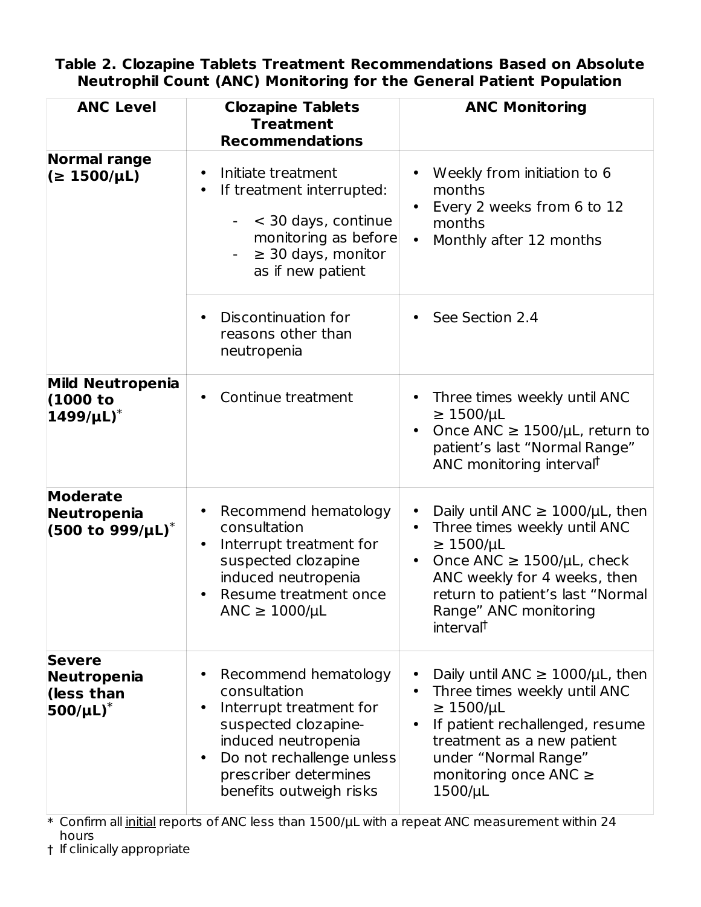#### **Table 2. Clozapine Tablets Treatment Recommendations Based on Absolute Neutrophil Count (ANC) Monitoring for the General Patient Population**

| <b>ANC Level</b>                                                        | <b>Clozapine Tablets</b><br><b>Treatment</b><br><b>Recommendations</b>                                                                                                                                                    | <b>ANC Monitoring</b>                                                                                                                                                                                                                                                    |
|-------------------------------------------------------------------------|---------------------------------------------------------------------------------------------------------------------------------------------------------------------------------------------------------------------------|--------------------------------------------------------------------------------------------------------------------------------------------------------------------------------------------------------------------------------------------------------------------------|
| <b>Normal range</b><br>( <b>2</b> 1500/µ <sup>L</sup> )                 | Initiate treatment<br>$\bullet$<br>If treatment interrupted:<br>< 30 days, continue<br>$-$<br>monitoring as before<br>$\geq$ 30 days, monitor<br>$\overline{\phantom{a}}$<br>as if new patient                            | Weekly from initiation to 6<br>months<br>Every 2 weeks from 6 to 12<br>$\bullet$<br>months<br>Monthly after 12 months<br>$\bullet$                                                                                                                                       |
|                                                                         | Discontinuation for<br>$\bullet$<br>reasons other than<br>neutropenia                                                                                                                                                     | See Section 2.4<br>$\bullet$                                                                                                                                                                                                                                             |
| <b>Mild Neutropenia</b><br>(1000 to<br>$1499/\mu L$ <sup>*</sup>        | Continue treatment<br>$\bullet$                                                                                                                                                                                           | Three times weekly until ANC<br>$\geq$ 1500/µL<br>Once ANC $\geq$ 1500/µL, return to<br>patient's last "Normal Range"<br>ANC monitoring interval <sup>†</sup>                                                                                                            |
| <b>Moderate</b><br>Neutropenia<br>$(500 \text{ to } 999/\mu\text{L})^*$ | Recommend hematology<br>$\bullet$<br>consultation<br>Interrupt treatment for<br>$\bullet$<br>suspected clozapine<br>induced neutropenia<br>Resume treatment once<br>$\bullet$<br>ANC $\geq$ 1000/µL                       | Daily until ANC $\geq$ 1000/µL, then<br>$\bullet$<br>Three times weekly until ANC<br>$\geq$ 1500/µL<br>Once ANC $\geq$ 1500/µL, check<br>$\bullet$<br>ANC weekly for 4 weeks, then<br>return to patient's last "Normal<br>Range" ANC monitoring<br>interval <sup>†</sup> |
| <b>Severe</b><br>Neutropenia<br>(less than<br>$500/\mu L$ <sup>*</sup>  | Recommend hematology<br>consultation<br>Interrupt treatment for<br>$\bullet$<br>suspected clozapine-<br>induced neutropenia<br>Do not rechallenge unless<br>$\bullet$<br>prescriber determines<br>benefits outweigh risks | Daily until ANC $\geq$ 1000/µL, then<br>Three times weekly until ANC<br>$\bullet$<br>$\geq$ 1500/µL<br>If patient rechallenged, resume<br>treatment as a new patient<br>under "Normal Range"<br>monitoring once ANC $\geq$<br>$1500/\mu L$                               |

\* Confirm all initial reports of ANC less than 1500/µL with a repeat ANC measurement within 24 hours

† If clinically appropriate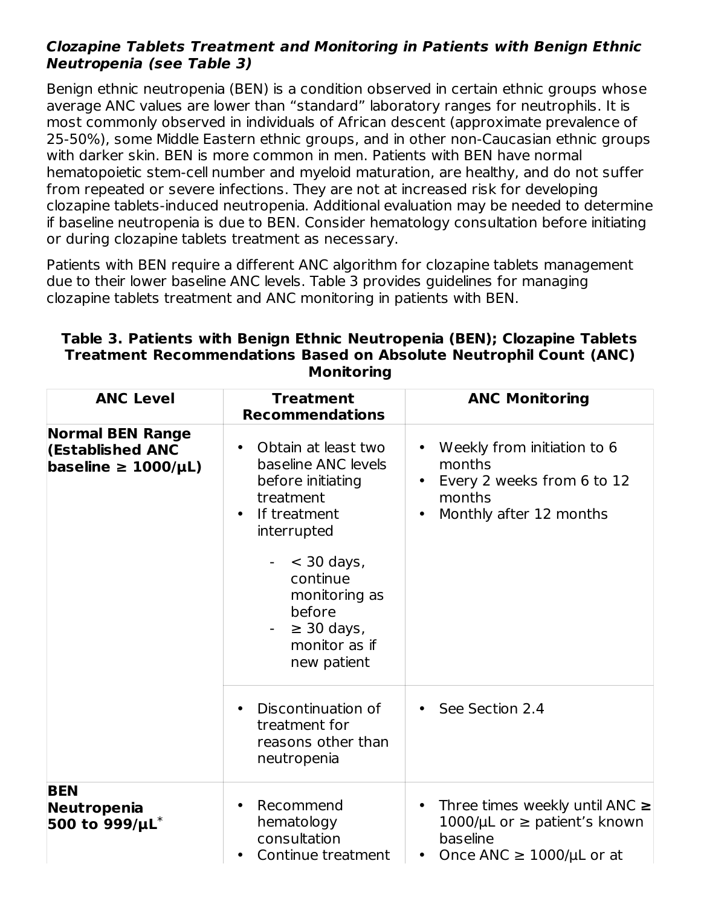#### **Clozapine Tablets Treatment and Monitoring in Patients with Benign Ethnic Neutropenia (see Table 3)**

Benign ethnic neutropenia (BEN) is a condition observed in certain ethnic groups whose average ANC values are lower than "standard" laboratory ranges for neutrophils. It is most commonly observed in individuals of African descent (approximate prevalence of 25-50%), some Middle Eastern ethnic groups, and in other non-Caucasian ethnic groups with darker skin. BEN is more common in men. Patients with BEN have normal hematopoietic stem-cell number and myeloid maturation, are healthy, and do not suffer from repeated or severe infections. They are not at increased risk for developing clozapine tablets-induced neutropenia. Additional evaluation may be needed to determine if baseline neutropenia is due to BEN. Consider hematology consultation before initiating or during clozapine tablets treatment as necessary.

Patients with BEN require a different ANC algorithm for clozapine tablets management due to their lower baseline ANC levels. Table 3 provides guidelines for managing clozapine tablets treatment and ANC monitoring in patients with BEN.

| <b>ANC Level</b>                                                          | <b>Treatment</b><br><b>Recommendations</b>                                                                                            | <b>ANC Monitoring</b>                                                                                                      |
|---------------------------------------------------------------------------|---------------------------------------------------------------------------------------------------------------------------------------|----------------------------------------------------------------------------------------------------------------------------|
| <b>Normal BEN Range</b><br>(Established ANC<br>baseline $\geq 1000/\mu L$ | Obtain at least two<br>$\bullet$<br>baseline ANC levels<br>before initiating<br>treatment<br>If treatment<br>$\bullet$<br>interrupted | Weekly from initiation to 6<br>months<br>Every 2 weeks from 6 to 12<br>$\bullet$<br>months<br>Monthly after 12 months      |
|                                                                           | $<$ 30 days,<br>continue<br>monitoring as<br>before<br>$\geq$ 30 days,<br>monitor as if<br>new patient                                |                                                                                                                            |
|                                                                           | Discontinuation of<br>treatment for<br>reasons other than<br>neutropenia                                                              | See Section 2.4                                                                                                            |
| <b>BEN</b><br>Neutropenia<br>500 to $999/\mu L^*$                         | Recommend<br>hematology<br>consultation<br>Continue treatment                                                                         | Three times weekly until ANC $\ge$<br>1000/ $\mu$ L or $\geq$ patient's known<br>baseline<br>Once ANC $\geq$ 1000/µL or at |

#### **Table 3. Patients with Benign Ethnic Neutropenia (BEN); Clozapine Tablets Treatment Recommendations Based on Absolute Neutrophil Count (ANC) Monitoring**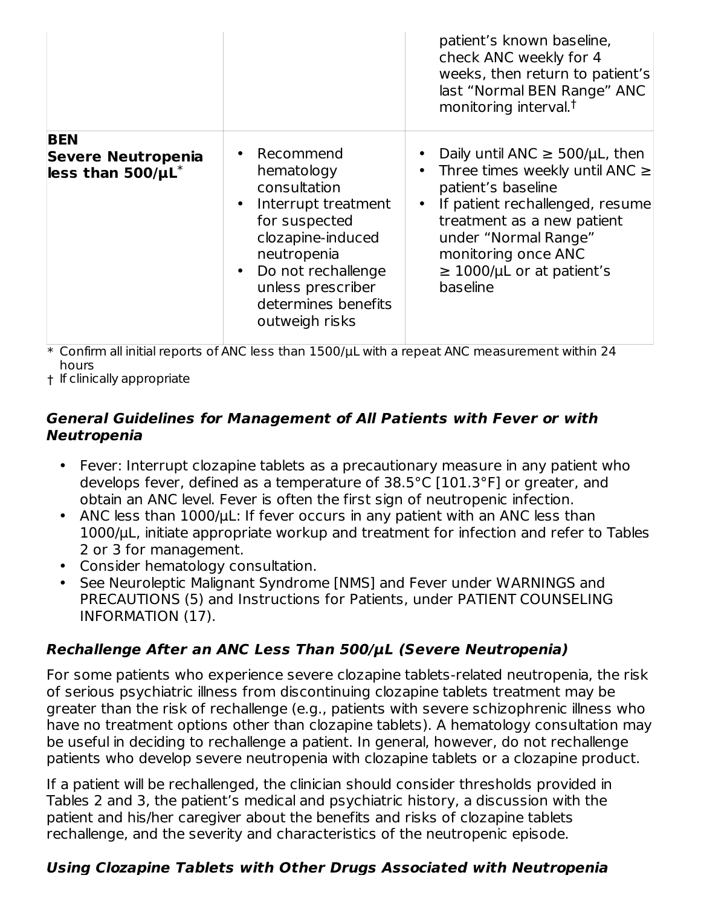|                                                                    |                                                                                                                                                                                                           | patient's known baseline,<br>check ANC weekly for 4<br>weeks, then return to patient's<br>last "Normal BEN Range" ANC<br>monitoring interval. <sup>†</sup>                                                                                                    |
|--------------------------------------------------------------------|-----------------------------------------------------------------------------------------------------------------------------------------------------------------------------------------------------------|---------------------------------------------------------------------------------------------------------------------------------------------------------------------------------------------------------------------------------------------------------------|
| <b>BEN</b><br><b>Severe Neutropenia</b><br>less than $500/\mu L^*$ | • Recommend<br>hematology<br>consultation<br>Interrupt treatment<br>for suspected<br>clozapine-induced<br>neutropenia<br>Do not rechallenge<br>unless prescriber<br>determines benefits<br>outweigh risks | Daily until ANC $\geq$ 500/µL, then<br>Three times weekly until ANC $\ge$<br>patient's baseline<br>If patient rechallenged, resume<br>treatment as a new patient<br>under "Normal Range"<br>monitoring once ANC<br>$\geq$ 1000/µL or at patient's<br>baseline |

 $\ast$  Confirm all initial reports of ANC less than 1500/ $\mu$ L with a repeat ANC measurement within 24 hours

† If clinically appropriate

#### **General Guidelines for Management of All Patients with Fever or with Neutropenia**

- Fever: Interrupt clozapine tablets as a precautionary measure in any patient who develops fever, defined as a temperature of 38.5°C [101.3°F] or greater, and obtain an ANC level. Fever is often the first sign of neutropenic infection.
- ANC less than 1000/µL: If fever occurs in any patient with an ANC less than 1000/µL, initiate appropriate workup and treatment for infection and refer to Tables 2 or 3 for management.
- Consider hematology consultation.
- See Neuroleptic Malignant Syndrome [NMS] and Fever under WARNINGS and PRECAUTIONS (5) and Instructions for Patients, under PATIENT COUNSELING INFORMATION (17).

# **Rechallenge After an ANC Less Than 500/µL (Severe Neutropenia)**

For some patients who experience severe clozapine tablets-related neutropenia, the risk of serious psychiatric illness from discontinuing clozapine tablets treatment may be greater than the risk of rechallenge (e.g., patients with severe schizophrenic illness who have no treatment options other than clozapine tablets). A hematology consultation may be useful in deciding to rechallenge a patient. In general, however, do not rechallenge patients who develop severe neutropenia with clozapine tablets or a clozapine product.

If a patient will be rechallenged, the clinician should consider thresholds provided in Tables 2 and 3, the patient's medical and psychiatric history, a discussion with the patient and his/her caregiver about the benefits and risks of clozapine tablets rechallenge, and the severity and characteristics of the neutropenic episode.

# **Using Clozapine Tablets with Other Drugs Associated with Neutropenia**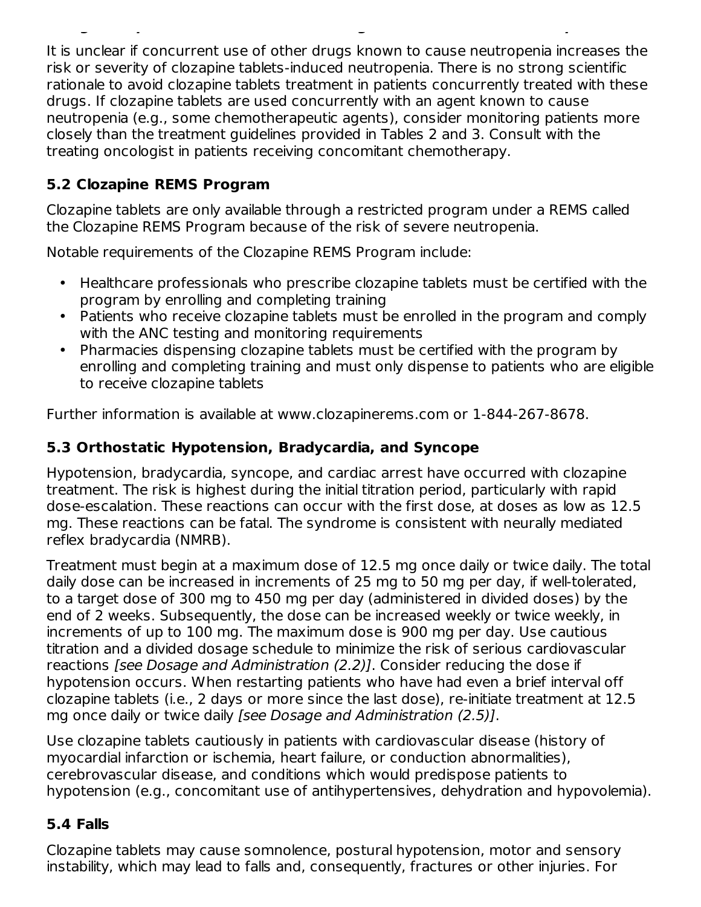It is unclear if concurrent use of other drugs known to cause neutropenia increases the risk or severity of clozapine tablets-induced neutropenia. There is no strong scientific rationale to avoid clozapine tablets treatment in patients concurrently treated with these drugs. If clozapine tablets are used concurrently with an agent known to cause neutropenia (e.g., some chemotherapeutic agents), consider monitoring patients more closely than the treatment guidelines provided in Tables 2 and 3. Consult with the treating oncologist in patients receiving concomitant chemotherapy.

**Using Clozapine Tablets with Other Drugs Associated with Neutropenia**

### **5.2 Clozapine REMS Program**

Clozapine tablets are only available through a restricted program under a REMS called the Clozapine REMS Program because of the risk of severe neutropenia.

Notable requirements of the Clozapine REMS Program include:

- Healthcare professionals who prescribe clozapine tablets must be certified with the program by enrolling and completing training
- Patients who receive clozapine tablets must be enrolled in the program and comply with the ANC testing and monitoring requirements
- Pharmacies dispensing clozapine tablets must be certified with the program by enrolling and completing training and must only dispense to patients who are eligible to receive clozapine tablets

Further information is available at www.clozapinerems.com or 1-844-267-8678.

# **5.3 Orthostatic Hypotension, Bradycardia, and Syncope**

Hypotension, bradycardia, syncope, and cardiac arrest have occurred with clozapine treatment. The risk is highest during the initial titration period, particularly with rapid dose-escalation. These reactions can occur with the first dose, at doses as low as 12.5 mg. These reactions can be fatal. The syndrome is consistent with neurally mediated reflex bradycardia (NMRB).

Treatment must begin at a maximum dose of 12.5 mg once daily or twice daily. The total daily dose can be increased in increments of 25 mg to 50 mg per day, if well-tolerated, to a target dose of 300 mg to 450 mg per day (administered in divided doses) by the end of 2 weeks. Subsequently, the dose can be increased weekly or twice weekly, in increments of up to 100 mg. The maximum dose is 900 mg per day. Use cautious titration and a divided dosage schedule to minimize the risk of serious cardiovascular reactions [see Dosage and Administration (2.2)]. Consider reducing the dose if hypotension occurs. When restarting patients who have had even a brief interval off clozapine tablets (i.e., 2 days or more since the last dose), re-initiate treatment at 12.5 mg once daily or twice daily [see Dosage and Administration (2.5)].

Use clozapine tablets cautiously in patients with cardiovascular disease (history of myocardial infarction or ischemia, heart failure, or conduction abnormalities), cerebrovascular disease, and conditions which would predispose patients to hypotension (e.g., concomitant use of antihypertensives, dehydration and hypovolemia).

#### **5.4 Falls**

Clozapine tablets may cause somnolence, postural hypotension, motor and sensory instability, which may lead to falls and, consequently, fractures or other injuries. For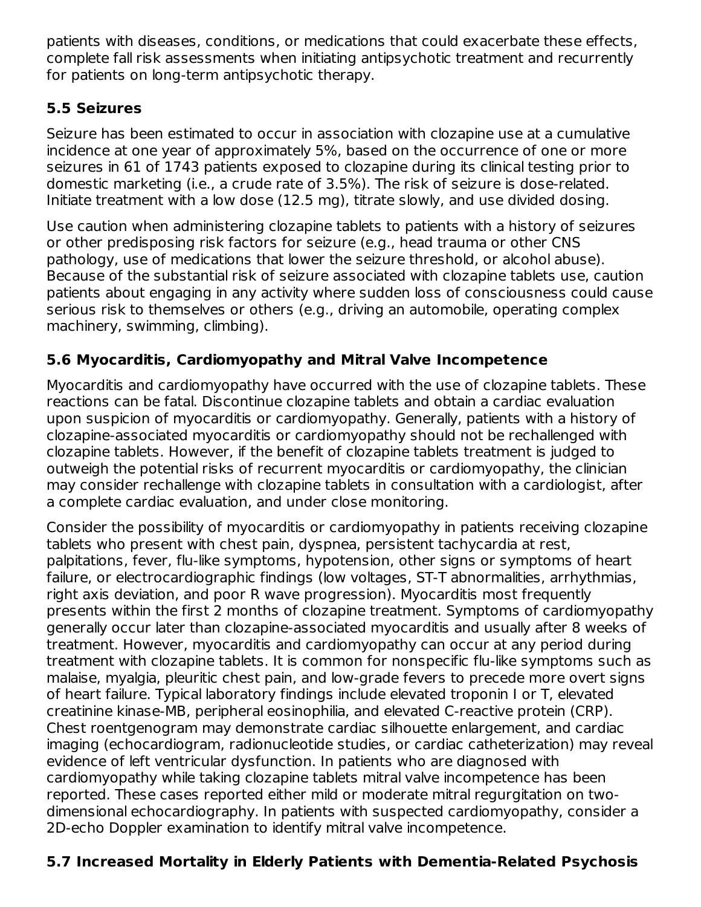patients with diseases, conditions, or medications that could exacerbate these effects, complete fall risk assessments when initiating antipsychotic treatment and recurrently for patients on long-term antipsychotic therapy.

### **5.5 Seizures**

Seizure has been estimated to occur in association with clozapine use at a cumulative incidence at one year of approximately 5%, based on the occurrence of one or more seizures in 61 of 1743 patients exposed to clozapine during its clinical testing prior to domestic marketing (i.e., a crude rate of 3.5%). The risk of seizure is dose-related. Initiate treatment with a low dose (12.5 mg), titrate slowly, and use divided dosing.

Use caution when administering clozapine tablets to patients with a history of seizures or other predisposing risk factors for seizure (e.g., head trauma or other CNS pathology, use of medications that lower the seizure threshold, or alcohol abuse). Because of the substantial risk of seizure associated with clozapine tablets use, caution patients about engaging in any activity where sudden loss of consciousness could cause serious risk to themselves or others (e.g., driving an automobile, operating complex machinery, swimming, climbing).

### **5.6 Myocarditis, Cardiomyopathy and Mitral Valve Incompetence**

Myocarditis and cardiomyopathy have occurred with the use of clozapine tablets. These reactions can be fatal. Discontinue clozapine tablets and obtain a cardiac evaluation upon suspicion of myocarditis or cardiomyopathy. Generally, patients with a history of clozapine-associated myocarditis or cardiomyopathy should not be rechallenged with clozapine tablets. However, if the benefit of clozapine tablets treatment is judged to outweigh the potential risks of recurrent myocarditis or cardiomyopathy, the clinician may consider rechallenge with clozapine tablets in consultation with a cardiologist, after a complete cardiac evaluation, and under close monitoring.

Consider the possibility of myocarditis or cardiomyopathy in patients receiving clozapine tablets who present with chest pain, dyspnea, persistent tachycardia at rest, palpitations, fever, flu-like symptoms, hypotension, other signs or symptoms of heart failure, or electrocardiographic findings (low voltages, ST-T abnormalities, arrhythmias, right axis deviation, and poor R wave progression). Myocarditis most frequently presents within the first 2 months of clozapine treatment. Symptoms of cardiomyopathy generally occur later than clozapine-associated myocarditis and usually after 8 weeks of treatment. However, myocarditis and cardiomyopathy can occur at any period during treatment with clozapine tablets. It is common for nonspecific flu-like symptoms such as malaise, myalgia, pleuritic chest pain, and low-grade fevers to precede more overt signs of heart failure. Typical laboratory findings include elevated troponin I or T, elevated creatinine kinase-MB, peripheral eosinophilia, and elevated C-reactive protein (CRP). Chest roentgenogram may demonstrate cardiac silhouette enlargement, and cardiac imaging (echocardiogram, radionucleotide studies, or cardiac catheterization) may reveal evidence of left ventricular dysfunction. In patients who are diagnosed with cardiomyopathy while taking clozapine tablets mitral valve incompetence has been reported. These cases reported either mild or moderate mitral regurgitation on twodimensional echocardiography. In patients with suspected cardiomyopathy, consider a 2D-echo Doppler examination to identify mitral valve incompetence.

# **5.7 Increased Mortality in Elderly Patients with Dementia-Related Psychosis**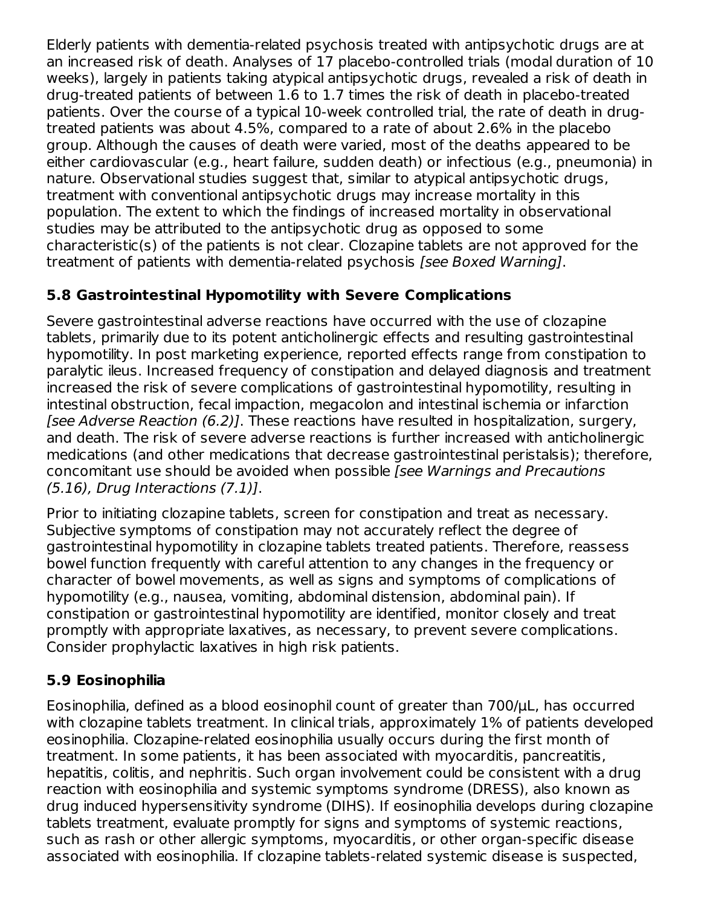Elderly patients with dementia-related psychosis treated with antipsychotic drugs are at an increased risk of death. Analyses of 17 placebo-controlled trials (modal duration of 10 weeks), largely in patients taking atypical antipsychotic drugs, revealed a risk of death in drug-treated patients of between 1.6 to 1.7 times the risk of death in placebo-treated patients. Over the course of a typical 10-week controlled trial, the rate of death in drugtreated patients was about 4.5%, compared to a rate of about 2.6% in the placebo group. Although the causes of death were varied, most of the deaths appeared to be either cardiovascular (e.g., heart failure, sudden death) or infectious (e.g., pneumonia) in nature. Observational studies suggest that, similar to atypical antipsychotic drugs, treatment with conventional antipsychotic drugs may increase mortality in this population. The extent to which the findings of increased mortality in observational studies may be attributed to the antipsychotic drug as opposed to some characteristic(s) of the patients is not clear. Clozapine tablets are not approved for the treatment of patients with dementia-related psychosis [see Boxed Warning].

### **5.8 Gastrointestinal Hypomotility with Severe Complications**

Severe gastrointestinal adverse reactions have occurred with the use of clozapine tablets, primarily due to its potent anticholinergic effects and resulting gastrointestinal hypomotility. In post marketing experience, reported effects range from constipation to paralytic ileus. Increased frequency of constipation and delayed diagnosis and treatment increased the risk of severe complications of gastrointestinal hypomotility, resulting in intestinal obstruction, fecal impaction, megacolon and intestinal ischemia or infarction [see Adverse Reaction (6.2)]. These reactions have resulted in hospitalization, surgery, and death. The risk of severe adverse reactions is further increased with anticholinergic medications (and other medications that decrease gastrointestinal peristalsis); therefore, concomitant use should be avoided when possible [see Warnings and Precautions (5.16), Drug Interactions (7.1)].

Prior to initiating clozapine tablets, screen for constipation and treat as necessary. Subjective symptoms of constipation may not accurately reflect the degree of gastrointestinal hypomotility in clozapine tablets treated patients. Therefore, reassess bowel function frequently with careful attention to any changes in the frequency or character of bowel movements, as well as signs and symptoms of complications of hypomotility (e.g., nausea, vomiting, abdominal distension, abdominal pain). If constipation or gastrointestinal hypomotility are identified, monitor closely and treat promptly with appropriate laxatives, as necessary, to prevent severe complications. Consider prophylactic laxatives in high risk patients.

# **5.9 Eosinophilia**

Eosinophilia, defined as a blood eosinophil count of greater than 700/μL, has occurred with clozapine tablets treatment. In clinical trials, approximately 1% of patients developed eosinophilia. Clozapine-related eosinophilia usually occurs during the first month of treatment. In some patients, it has been associated with myocarditis, pancreatitis, hepatitis, colitis, and nephritis. Such organ involvement could be consistent with a drug reaction with eosinophilia and systemic symptoms syndrome (DRESS), also known as drug induced hypersensitivity syndrome (DIHS). If eosinophilia develops during clozapine tablets treatment, evaluate promptly for signs and symptoms of systemic reactions, such as rash or other allergic symptoms, myocarditis, or other organ-specific disease associated with eosinophilia. If clozapine tablets-related systemic disease is suspected,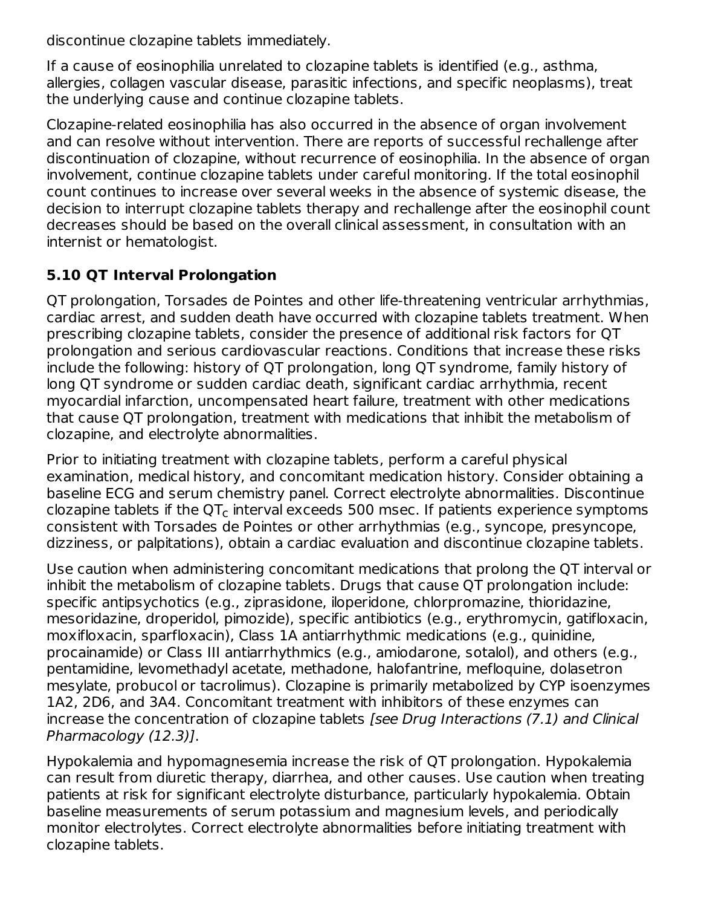discontinue clozapine tablets immediately.

If a cause of eosinophilia unrelated to clozapine tablets is identified (e.g., asthma, allergies, collagen vascular disease, parasitic infections, and specific neoplasms), treat the underlying cause and continue clozapine tablets.

Clozapine-related eosinophilia has also occurred in the absence of organ involvement and can resolve without intervention. There are reports of successful rechallenge after discontinuation of clozapine, without recurrence of eosinophilia. In the absence of organ involvement, continue clozapine tablets under careful monitoring. If the total eosinophil count continues to increase over several weeks in the absence of systemic disease, the decision to interrupt clozapine tablets therapy and rechallenge after the eosinophil count decreases should be based on the overall clinical assessment, in consultation with an internist or hematologist.

# **5.10 QT Interval Prolongation**

QT prolongation, Torsades de Pointes and other life-threatening ventricular arrhythmias, cardiac arrest, and sudden death have occurred with clozapine tablets treatment. When prescribing clozapine tablets, consider the presence of additional risk factors for QT prolongation and serious cardiovascular reactions. Conditions that increase these risks include the following: history of QT prolongation, long QT syndrome, family history of long QT syndrome or sudden cardiac death, significant cardiac arrhythmia, recent myocardial infarction, uncompensated heart failure, treatment with other medications that cause QT prolongation, treatment with medications that inhibit the metabolism of clozapine, and electrolyte abnormalities.

Prior to initiating treatment with clozapine tablets, perform a careful physical examination, medical history, and concomitant medication history. Consider obtaining a baseline ECG and serum chemistry panel. Correct electrolyte abnormalities. Discontinue clozapine tablets if the QT $_{\sf c}$  interval exceeds 500 msec. If patients experience symptoms consistent with Torsades de Pointes or other arrhythmias (e.g., syncope, presyncope, dizziness, or palpitations), obtain a cardiac evaluation and discontinue clozapine tablets.

Use caution when administering concomitant medications that prolong the QT interval or inhibit the metabolism of clozapine tablets. Drugs that cause QT prolongation include: specific antipsychotics (e.g., ziprasidone, iloperidone, chlorpromazine, thioridazine, mesoridazine, droperidol, pimozide), specific antibiotics (e.g., erythromycin, gatifloxacin, moxifloxacin, sparfloxacin), Class 1A antiarrhythmic medications (e.g., quinidine, procainamide) or Class III antiarrhythmics (e.g., amiodarone, sotalol), and others (e.g., pentamidine, levomethadyl acetate, methadone, halofantrine, mefloquine, dolasetron mesylate, probucol or tacrolimus). Clozapine is primarily metabolized by CYP isoenzymes 1A2, 2D6, and 3A4. Concomitant treatment with inhibitors of these enzymes can increase the concentration of clozapine tablets [see Drug Interactions (7.1) and Clinical Pharmacology (12.3)].

Hypokalemia and hypomagnesemia increase the risk of QT prolongation. Hypokalemia can result from diuretic therapy, diarrhea, and other causes. Use caution when treating patients at risk for significant electrolyte disturbance, particularly hypokalemia. Obtain baseline measurements of serum potassium and magnesium levels, and periodically monitor electrolytes. Correct electrolyte abnormalities before initiating treatment with clozapine tablets.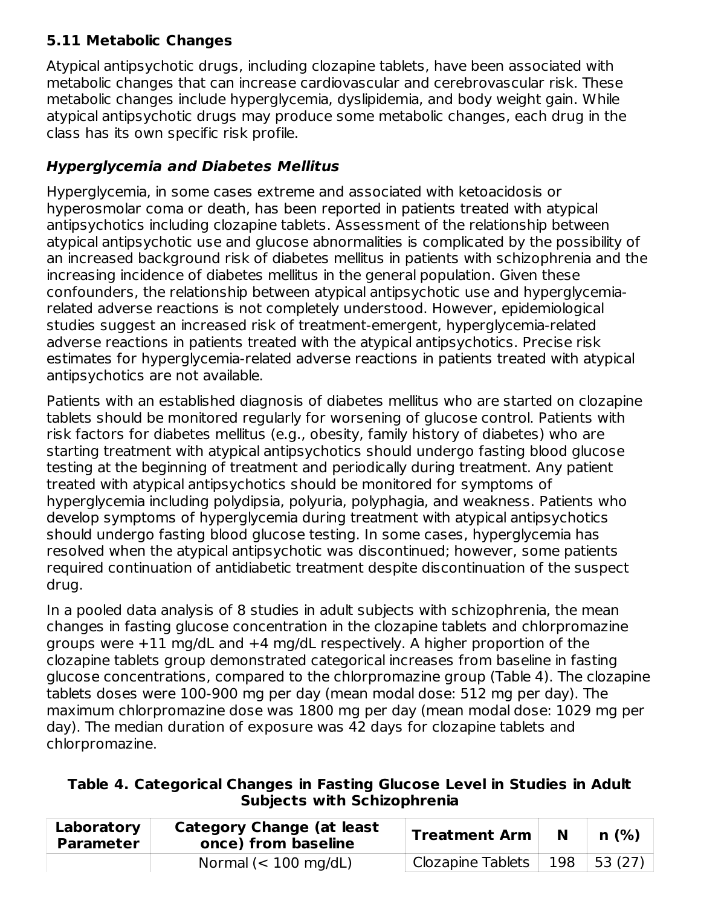### **5.11 Metabolic Changes**

Atypical antipsychotic drugs, including clozapine tablets, have been associated with metabolic changes that can increase cardiovascular and cerebrovascular risk. These metabolic changes include hyperglycemia, dyslipidemia, and body weight gain. While atypical antipsychotic drugs may produce some metabolic changes, each drug in the class has its own specific risk profile.

# **Hyperglycemia and Diabetes Mellitus**

Hyperglycemia, in some cases extreme and associated with ketoacidosis or hyperosmolar coma or death, has been reported in patients treated with atypical antipsychotics including clozapine tablets. Assessment of the relationship between atypical antipsychotic use and glucose abnormalities is complicated by the possibility of an increased background risk of diabetes mellitus in patients with schizophrenia and the increasing incidence of diabetes mellitus in the general population. Given these confounders, the relationship between atypical antipsychotic use and hyperglycemiarelated adverse reactions is not completely understood. However, epidemiological studies suggest an increased risk of treatment-emergent, hyperglycemia-related adverse reactions in patients treated with the atypical antipsychotics. Precise risk estimates for hyperglycemia-related adverse reactions in patients treated with atypical antipsychotics are not available.

Patients with an established diagnosis of diabetes mellitus who are started on clozapine tablets should be monitored regularly for worsening of glucose control. Patients with risk factors for diabetes mellitus (e.g., obesity, family history of diabetes) who are starting treatment with atypical antipsychotics should undergo fasting blood glucose testing at the beginning of treatment and periodically during treatment. Any patient treated with atypical antipsychotics should be monitored for symptoms of hyperglycemia including polydipsia, polyuria, polyphagia, and weakness. Patients who develop symptoms of hyperglycemia during treatment with atypical antipsychotics should undergo fasting blood glucose testing. In some cases, hyperglycemia has resolved when the atypical antipsychotic was discontinued; however, some patients required continuation of antidiabetic treatment despite discontinuation of the suspect drug.

In a pooled data analysis of 8 studies in adult subjects with schizophrenia, the mean changes in fasting glucose concentration in the clozapine tablets and chlorpromazine groups were +11 mg/dL and +4 mg/dL respectively. A higher proportion of the clozapine tablets group demonstrated categorical increases from baseline in fasting glucose concentrations, compared to the chlorpromazine group (Table 4). The clozapine tablets doses were 100-900 mg per day (mean modal dose: 512 mg per day). The maximum chlorpromazine dose was 1800 mg per day (mean modal dose: 1029 mg per day). The median duration of exposure was 42 days for clozapine tablets and chlorpromazine.

| Table 4. Categorical Changes in Fasting Glucose Level in Studies in Adult |  |
|---------------------------------------------------------------------------|--|
| <b>Subjects with Schizophrenia</b>                                        |  |

| Laboratory<br><b>Parameter</b> | <b>Category Change (at least</b><br>once) from baseline | <b>Treatment Arm</b> | N   | n(%)   |
|--------------------------------|---------------------------------------------------------|----------------------|-----|--------|
|                                | Normal $(< 100$ mg/dL)                                  | Clozapine Tablets    | 198 | 53(27) |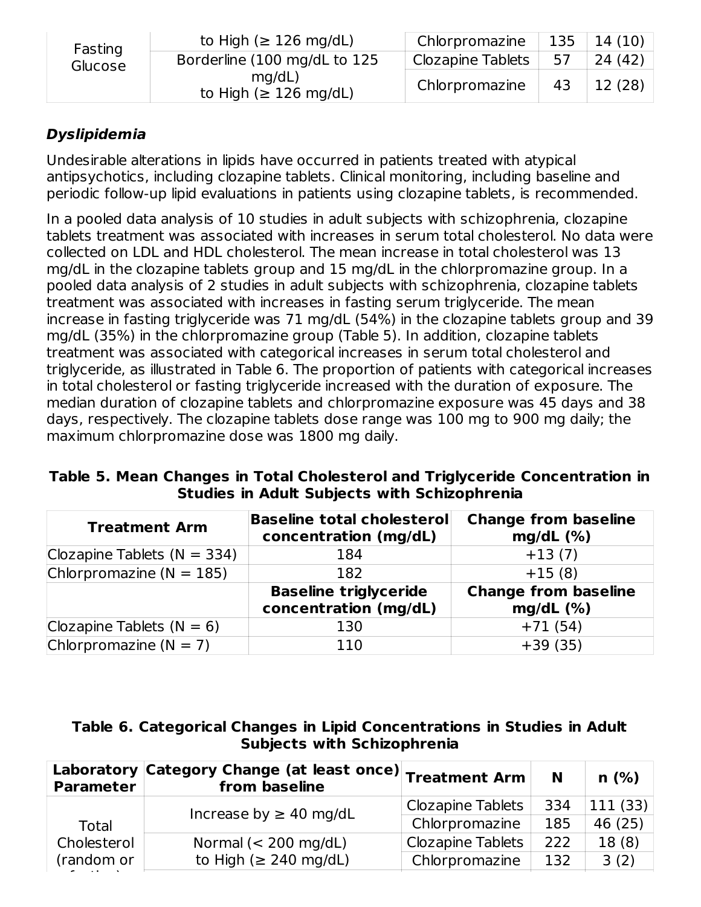| Fasting | to High ( $\geq$ 126 mg/dL)          | Chlorpromazine           | 135 | 14 (10) |
|---------|--------------------------------------|--------------------------|-----|---------|
| Glucose | Borderline (100 mg/dL to 125         | <b>Clozapine Tablets</b> | 57  | 24(42)  |
|         | mq/dL<br>to High ( $\geq$ 126 mg/dL) | Chlorpromazine           | 43  | 12 (28) |

# **Dyslipidemia**

Undesirable alterations in lipids have occurred in patients treated with atypical antipsychotics, including clozapine tablets. Clinical monitoring, including baseline and periodic follow-up lipid evaluations in patients using clozapine tablets, is recommended.

In a pooled data analysis of 10 studies in adult subjects with schizophrenia, clozapine tablets treatment was associated with increases in serum total cholesterol. No data were collected on LDL and HDL cholesterol. The mean increase in total cholesterol was 13 mg/dL in the clozapine tablets group and 15 mg/dL in the chlorpromazine group. In a pooled data analysis of 2 studies in adult subjects with schizophrenia, clozapine tablets treatment was associated with increases in fasting serum triglyceride. The mean increase in fasting triglyceride was 71 mg/dL (54%) in the clozapine tablets group and 39 mg/dL (35%) in the chlorpromazine group (Table 5). In addition, clozapine tablets treatment was associated with categorical increases in serum total cholesterol and triglyceride, as illustrated in Table 6. The proportion of patients with categorical increases in total cholesterol or fasting triglyceride increased with the duration of exposure. The median duration of clozapine tablets and chlorpromazine exposure was 45 days and 38 days, respectively. The clozapine tablets dose range was 100 mg to 900 mg daily; the maximum chlorpromazine dose was 1800 mg daily.

**Table 5. Mean Changes in Total Cholesterol and Triglyceride Concentration in Studies in Adult Subjects with Schizophrenia**

| <b>Treatment Arm</b>            | <b>Baseline total cholesterol</b><br>concentration (mg/dL) | <b>Change from baseline</b><br>$mg/dL$ (%) |
|---------------------------------|------------------------------------------------------------|--------------------------------------------|
| Clozapine Tablets ( $N = 334$ ) | 184                                                        | $+13(7)$                                   |
| Chlorpromazine ( $N = 185$ )    | 182                                                        | $+15(8)$                                   |
|                                 | <b>Baseline triglyceride</b><br>concentration (mg/dL)      | <b>Change from baseline</b><br>$mg/dL$ (%) |
| Clozapine Tablets $(N = 6)$     | 130                                                        | $+71(54)$                                  |
| Chlorpromazine ( $N = 7$ )      | 110                                                        | $+39(35)$                                  |

#### **Table 6. Categorical Changes in Lipid Concentrations in Studies in Adult Subjects with Schizophrenia**

| <b>Parameter</b> | Laboratory Category Change (at least once) Treatment Arm<br>from baseline |                          | N   | n(%)    |
|------------------|---------------------------------------------------------------------------|--------------------------|-----|---------|
|                  | Increase by $\geq$ 40 mg/dL                                               | <b>Clozapine Tablets</b> | 334 | 111(33) |
| Total            |                                                                           | Chlorpromazine           | 185 | 46 (25) |
| Cholesterol      | Normal $(< 200$ mg/dL)                                                    | <b>Clozapine Tablets</b> | 222 | 18(8)   |
| (random or       | to High ( $\geq$ 240 mg/dL)                                               | Chlorpromazine           | 132 | 3(2)    |
|                  |                                                                           |                          |     |         |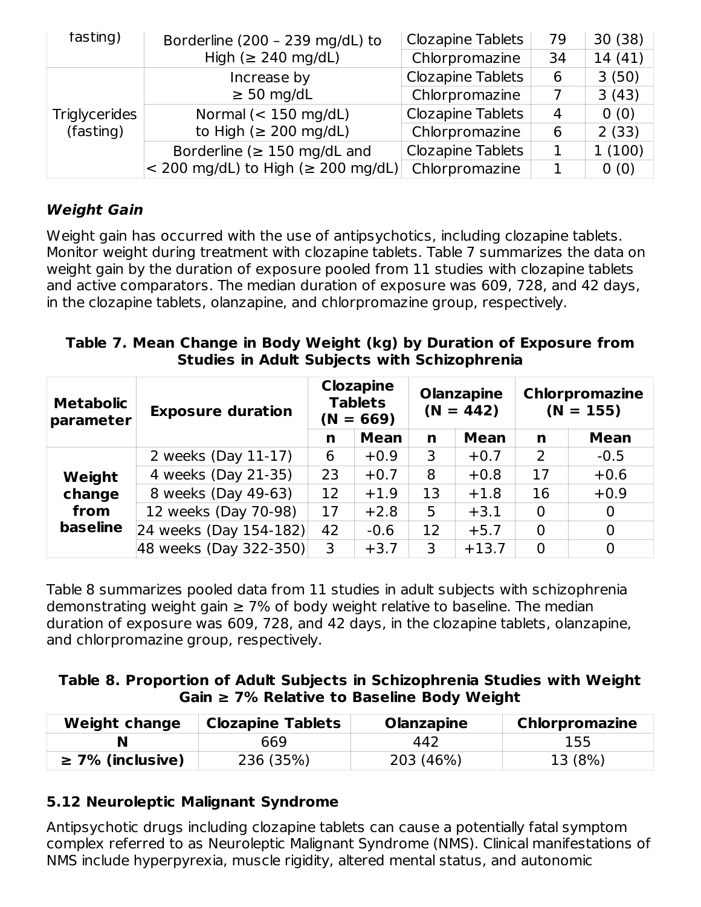| fasting)      | Borderline (200 - 239 mg/dL) to                       | <b>Clozapine Tablets</b> | 79 | 30(38) |
|---------------|-------------------------------------------------------|--------------------------|----|--------|
|               | High ( $\geq$ 240 mg/dL)                              | Chlorpromazine           | 34 | 14(41) |
|               | Increase by                                           | <b>Clozapine Tablets</b> | 6  | 3(50)  |
|               | $\geq$ 50 mg/dL                                       | Chlorpromazine           |    | 3(43)  |
| Triglycerides | Normal $(< 150$ mg/dL)<br>to High ( $\geq 200$ mg/dL) | <b>Clozapine Tablets</b> | 4  | 0(0)   |
| (fasting)     |                                                       | Chlorpromazine           | 6  | 2(33)  |
|               | Borderline ( $\geq$ 150 mg/dL and                     | <b>Clozapine Tablets</b> |    | 1(100) |
|               | $<$ 200 mg/dL) to High ( $\geq$ 200 mg/dL)            | Chlorpromazine           |    | 0(0)   |

### **Weight Gain**

Weight gain has occurred with the use of antipsychotics, including clozapine tablets. Monitor weight during treatment with clozapine tablets. Table 7 summarizes the data on weight gain by the duration of exposure pooled from 11 studies with clozapine tablets and active comparators. The median duration of exposure was 609, 728, and 42 days, in the clozapine tablets, olanzapine, and chlorpromazine group, respectively.

#### **Table 7. Mean Change in Body Weight (kg) by Duration of Exposure from Studies in Adult Subjects with Schizophrenia**

| <b>Metabolic</b><br>parameter | <b>Exposure duration</b> | <b>Clozapine</b><br><b>Tablets</b><br>$(N = 669)$ |             | <b>Olanzapine</b><br>$(N = 442)$ |             | <b>Chlorpromazine</b><br>$(N = 155)$ |             |
|-------------------------------|--------------------------|---------------------------------------------------|-------------|----------------------------------|-------------|--------------------------------------|-------------|
|                               |                          | n                                                 | <b>Mean</b> | n                                | <b>Mean</b> | n                                    | <b>Mean</b> |
|                               | 2 weeks (Day 11-17)      | 6                                                 | $+0.9$      | 3                                | $+0.7$      | 2                                    | $-0.5$      |
| Weight                        | 4 weeks (Day 21-35)      | 23                                                | $+0.7$      | 8                                | $+0.8$      | 17                                   | $+0.6$      |
| change                        | 8 weeks (Day 49-63)      | 12                                                | $+1.9$      | 13                               | $+1.8$      | 16                                   | $+0.9$      |
| from                          | 12 weeks (Day 70-98)     | 17                                                | $+2.8$      | 5                                | $+3.1$      | 0                                    | 0           |
| baseline                      | 24 weeks (Day 154-182)   | 42                                                | $-0.6$      | 12                               | $+5.7$      | $\overline{0}$                       | 0           |
|                               | 48 weeks (Day 322-350)   | 3                                                 | $+3.7$      | 3                                | $+13.7$     | $\overline{0}$                       |             |

Table 8 summarizes pooled data from 11 studies in adult subjects with schizophrenia demonstrating weight gain  $\geq$  7% of body weight relative to baseline. The median duration of exposure was 609, 728, and 42 days, in the clozapine tablets, olanzapine, and chlorpromazine group, respectively.

#### **Table 8. Proportion of Adult Subjects in Schizophrenia Studies with Weight Gain ≥ 7% Relative to Baseline Body Weight**

| <b>Weight change</b>  | <b>Clozapine Tablets</b> | <b>Olanzapine</b> | <b>Chlorpromazine</b> |
|-----------------------|--------------------------|-------------------|-----------------------|
|                       | 669                      | 442               | 155                   |
| $\geq$ 7% (inclusive) | 236 (35%)                | 203 (46%)         | 13 (8%)               |

# **5.12 Neuroleptic Malignant Syndrome**

Antipsychotic drugs including clozapine tablets can cause a potentially fatal symptom complex referred to as Neuroleptic Malignant Syndrome (NMS). Clinical manifestations of NMS include hyperpyrexia, muscle rigidity, altered mental status, and autonomic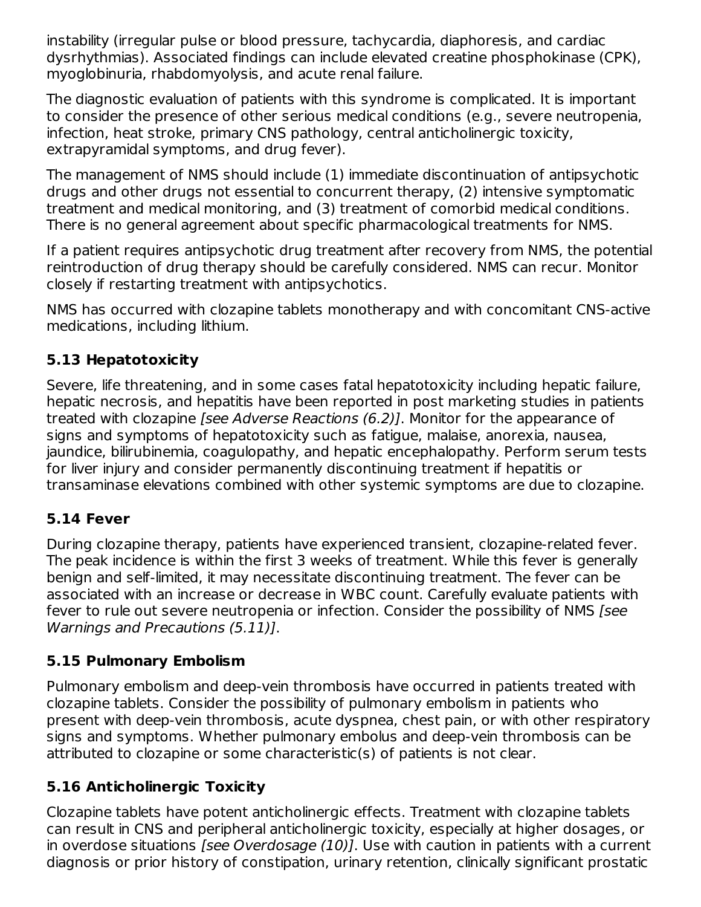instability (irregular pulse or blood pressure, tachycardia, diaphoresis, and cardiac dysrhythmias). Associated findings can include elevated creatine phosphokinase (CPK), myoglobinuria, rhabdomyolysis, and acute renal failure.

The diagnostic evaluation of patients with this syndrome is complicated. It is important to consider the presence of other serious medical conditions (e.g., severe neutropenia, infection, heat stroke, primary CNS pathology, central anticholinergic toxicity, extrapyramidal symptoms, and drug fever).

The management of NMS should include (1) immediate discontinuation of antipsychotic drugs and other drugs not essential to concurrent therapy, (2) intensive symptomatic treatment and medical monitoring, and (3) treatment of comorbid medical conditions. There is no general agreement about specific pharmacological treatments for NMS.

If a patient requires antipsychotic drug treatment after recovery from NMS, the potential reintroduction of drug therapy should be carefully considered. NMS can recur. Monitor closely if restarting treatment with antipsychotics.

NMS has occurred with clozapine tablets monotherapy and with concomitant CNS-active medications, including lithium.

# **5.13 Hepatotoxicity**

Severe, life threatening, and in some cases fatal hepatotoxicity including hepatic failure, hepatic necrosis, and hepatitis have been reported in post marketing studies in patients treated with clozapine [see Adverse Reactions (6.2)]. Monitor for the appearance of signs and symptoms of hepatotoxicity such as fatigue, malaise, anorexia, nausea, jaundice, bilirubinemia, coagulopathy, and hepatic encephalopathy. Perform serum tests for liver injury and consider permanently discontinuing treatment if hepatitis or transaminase elevations combined with other systemic symptoms are due to clozapine.

# **5.14 Fever**

During clozapine therapy, patients have experienced transient, clozapine-related fever. The peak incidence is within the first 3 weeks of treatment. While this fever is generally benign and self-limited, it may necessitate discontinuing treatment. The fever can be associated with an increase or decrease in WBC count. Carefully evaluate patients with fever to rule out severe neutropenia or infection. Consider the possibility of NMS [see Warnings and Precautions (5.11)].

# **5.15 Pulmonary Embolism**

Pulmonary embolism and deep-vein thrombosis have occurred in patients treated with clozapine tablets. Consider the possibility of pulmonary embolism in patients who present with deep-vein thrombosis, acute dyspnea, chest pain, or with other respiratory signs and symptoms. Whether pulmonary embolus and deep-vein thrombosis can be attributed to clozapine or some characteristic(s) of patients is not clear.

# **5.16 Anticholinergic Toxicity**

Clozapine tablets have potent anticholinergic effects. Treatment with clozapine tablets can result in CNS and peripheral anticholinergic toxicity, especially at higher dosages, or in overdose situations *[see Overdosage (10)]*. Use with caution in patients with a current diagnosis or prior history of constipation, urinary retention, clinically significant prostatic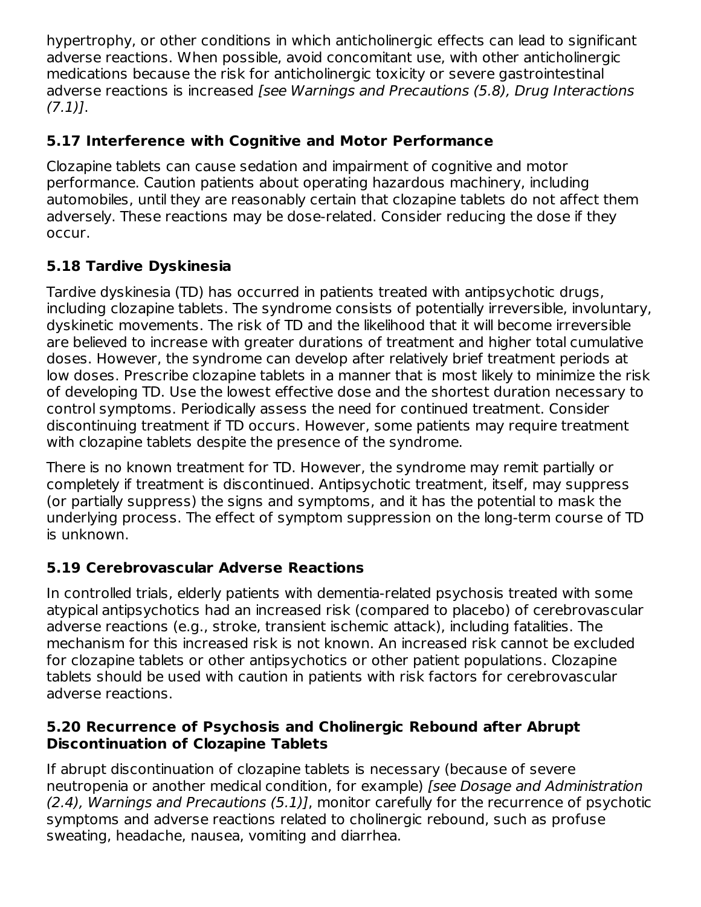hypertrophy, or other conditions in which anticholinergic effects can lead to significant adverse reactions. When possible, avoid concomitant use, with other anticholinergic medications because the risk for anticholinergic toxicity or severe gastrointestinal adverse reactions is increased [see Warnings and Precautions (5.8), Drug Interactions  $(7.1)$ ].

# **5.17 Interference with Cognitive and Motor Performance**

Clozapine tablets can cause sedation and impairment of cognitive and motor performance. Caution patients about operating hazardous machinery, including automobiles, until they are reasonably certain that clozapine tablets do not affect them adversely. These reactions may be dose-related. Consider reducing the dose if they occur.

# **5.18 Tardive Dyskinesia**

Tardive dyskinesia (TD) has occurred in patients treated with antipsychotic drugs, including clozapine tablets. The syndrome consists of potentially irreversible, involuntary, dyskinetic movements. The risk of TD and the likelihood that it will become irreversible are believed to increase with greater durations of treatment and higher total cumulative doses. However, the syndrome can develop after relatively brief treatment periods at low doses. Prescribe clozapine tablets in a manner that is most likely to minimize the risk of developing TD. Use the lowest effective dose and the shortest duration necessary to control symptoms. Periodically assess the need for continued treatment. Consider discontinuing treatment if TD occurs. However, some patients may require treatment with clozapine tablets despite the presence of the syndrome.

There is no known treatment for TD. However, the syndrome may remit partially or completely if treatment is discontinued. Antipsychotic treatment, itself, may suppress (or partially suppress) the signs and symptoms, and it has the potential to mask the underlying process. The effect of symptom suppression on the long-term course of TD is unknown.

# **5.19 Cerebrovascular Adverse Reactions**

In controlled trials, elderly patients with dementia-related psychosis treated with some atypical antipsychotics had an increased risk (compared to placebo) of cerebrovascular adverse reactions (e.g., stroke, transient ischemic attack), including fatalities. The mechanism for this increased risk is not known. An increased risk cannot be excluded for clozapine tablets or other antipsychotics or other patient populations. Clozapine tablets should be used with caution in patients with risk factors for cerebrovascular adverse reactions.

#### **5.20 Recurrence of Psychosis and Cholinergic Rebound after Abrupt Discontinuation of Clozapine Tablets**

If abrupt discontinuation of clozapine tablets is necessary (because of severe neutropenia or another medical condition, for example) [see Dosage and Administration (2.4), Warnings and Precautions (5.1)], monitor carefully for the recurrence of psychotic symptoms and adverse reactions related to cholinergic rebound, such as profuse sweating, headache, nausea, vomiting and diarrhea.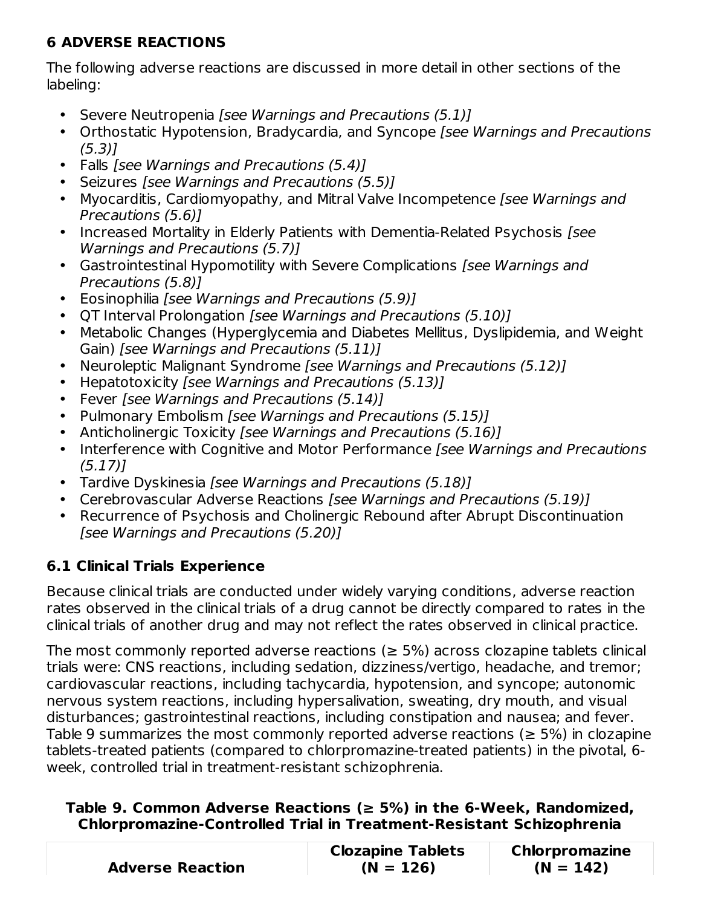# **6 ADVERSE REACTIONS**

The following adverse reactions are discussed in more detail in other sections of the labeling:

- Severe Neutropenia [see Warnings and Precautions (5.1)]
- Orthostatic Hypotension, Bradycardia, and Syncope [see Warnings and Precautions  $(5.3)$ ]
- Falls [see Warnings and Precautions (5.4)]
- Seizures [see Warnings and Precautions (5.5)]
- Myocarditis, Cardiomyopathy, and Mitral Valve Incompetence [see Warnings and Precautions (5.6)]
- Increased Mortality in Elderly Patients with Dementia-Related Psychosis [see Warnings and Precautions (5.7)]
- Gastrointestinal Hypomotility with Severe Complications [see Warnings and Precautions (5.8)]
- Eosinophilia [see Warnings and Precautions (5.9)]
- QT Interval Prolongation [see Warnings and Precautions (5.10)]
- Metabolic Changes (Hyperglycemia and Diabetes Mellitus, Dyslipidemia, and Weight Gain) [see Warnings and Precautions (5.11)]
- Neuroleptic Malignant Syndrome [see Warnings and Precautions (5.12)]
- $\bullet$ Hepatotoxicity [see Warnings and Precautions (5.13)]
- Fever [see Warnings and Precautions (5.14)]
- Pulmonary Embolism [see Warnings and Precautions (5.15)]
- $\bullet$ Anticholinergic Toxicity [see Warnings and Precautions (5.16)]
- Interference with Cognitive and Motor Performance [see Warnings and Precautions (5.17)]
- Tardive Dyskinesia [see Warnings and Precautions (5.18)]
- Cerebrovascular Adverse Reactions [see Warnings and Precautions (5.19)]
- Recurrence of Psychosis and Cholinergic Rebound after Abrupt Discontinuation [see Warnings and Precautions (5.20)]

# **6.1 Clinical Trials Experience**

Because clinical trials are conducted under widely varying conditions, adverse reaction rates observed in the clinical trials of a drug cannot be directly compared to rates in the clinical trials of another drug and may not reflect the rates observed in clinical practice.

The most commonly reported adverse reactions ( $\geq$  5%) across clozapine tablets clinical trials were: CNS reactions, including sedation, dizziness/vertigo, headache, and tremor; cardiovascular reactions, including tachycardia, hypotension, and syncope; autonomic nervous system reactions, including hypersalivation, sweating, dry mouth, and visual disturbances; gastrointestinal reactions, including constipation and nausea; and fever. Table 9 summarizes the most commonly reported adverse reactions ( $\geq$  5%) in clozapine tablets-treated patients (compared to chlorpromazine-treated patients) in the pivotal, 6 week, controlled trial in treatment-resistant schizophrenia.

### **Table 9. Common Adverse Reactions (≥ 5%) in the 6-Week, Randomized, Chlorpromazine-Controlled Trial in Treatment-Resistant Schizophrenia**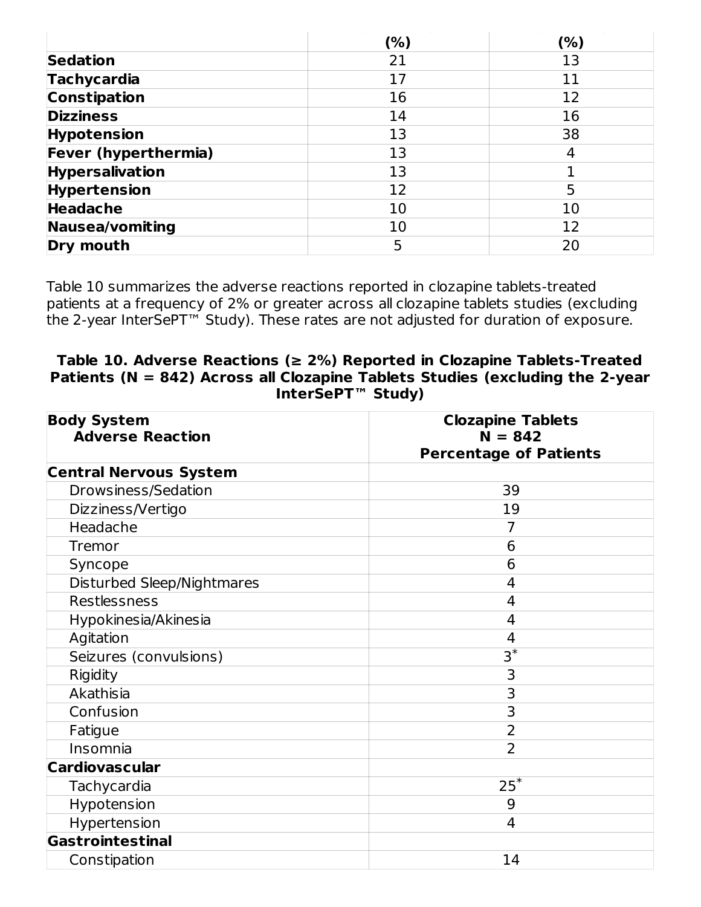|                        | (%) | (%) |
|------------------------|-----|-----|
| <b>Sedation</b>        | 21  | 13  |
| <b>Tachycardia</b>     | 17  | 11  |
| <b>Constipation</b>    | 16  | 12  |
| <b>Dizziness</b>       | 14  | 16  |
| Hypotension            | 13  | 38  |
| Fever (hyperthermia)   | 13  | 4   |
| <b>Hypersalivation</b> | 13  |     |
| <b>Hypertension</b>    | 12  | 5   |
| <b>Headache</b>        | 10  | 10  |
| <b>Nausea/vomiting</b> | 10  | 12  |
| Dry mouth              | 5   | 20  |

Table 10 summarizes the adverse reactions reported in clozapine tablets-treated patients at a frequency of 2% or greater across all clozapine tablets studies (excluding the 2-year InterSePT™ Study). These rates are not adjusted for duration of exposure.

#### **Table 10. Adverse Reactions (≥ 2%) Reported in Clozapine Tablets-Treated Patients (N = 842) Across all Clozapine Tablets Studies (excluding the 2-year InterSePT™ Study)**

| <b>Body System</b>            | <b>Clozapine Tablets</b>      |  |  |  |
|-------------------------------|-------------------------------|--|--|--|
| <b>Adverse Reaction</b>       | $N = 842$                     |  |  |  |
|                               | <b>Percentage of Patients</b> |  |  |  |
| <b>Central Nervous System</b> |                               |  |  |  |
| Drowsiness/Sedation           | 39                            |  |  |  |
| Dizziness/Vertigo             | 19                            |  |  |  |
| Headache                      | 7                             |  |  |  |
| Tremor                        | 6                             |  |  |  |
| Syncope                       | 6                             |  |  |  |
| Disturbed Sleep/Nightmares    | 4                             |  |  |  |
| Restlessness                  | 4                             |  |  |  |
| Hypokinesia/Akinesia          | 4                             |  |  |  |
| Agitation                     | 4                             |  |  |  |
| Seizures (convulsions)        | $\overline{\mathsf{3}^*}$     |  |  |  |
| Rigidity                      | 3                             |  |  |  |
| Akathisia                     | 3                             |  |  |  |
| Confusion                     | 3                             |  |  |  |
| Fatigue                       | $\overline{2}$                |  |  |  |
| Insomnia                      | $\overline{2}$                |  |  |  |
| <b>Cardiovascular</b>         |                               |  |  |  |
| Tachycardia                   | $25^*$                        |  |  |  |
| Hypotension                   | 9                             |  |  |  |
| Hypertension                  | $\overline{4}$                |  |  |  |
| Gastrointestinal              |                               |  |  |  |
| Constipation                  | 14                            |  |  |  |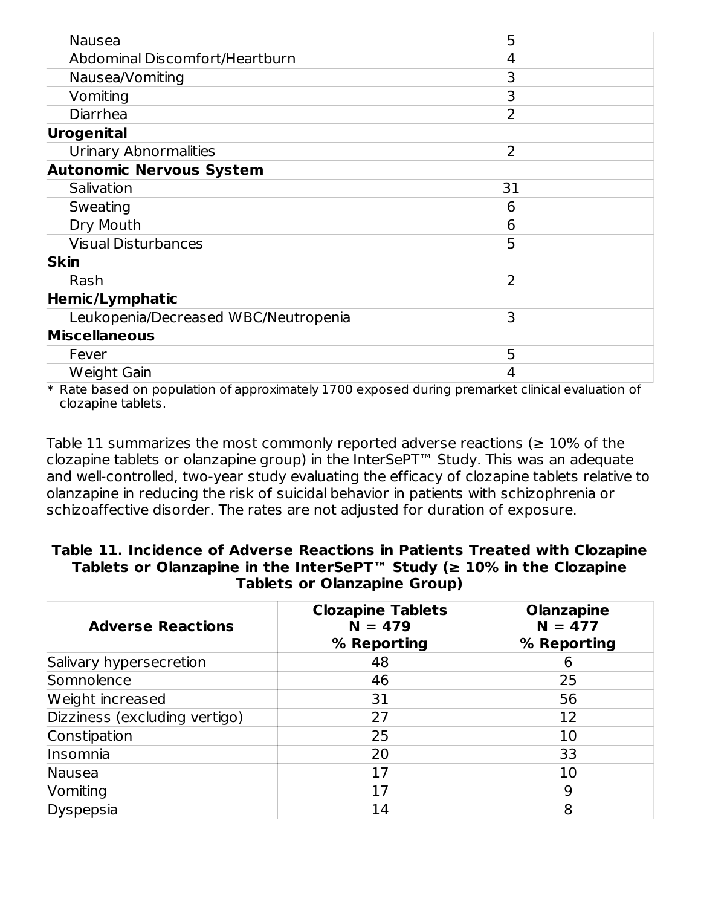| <b>Nausea</b>                        | 5              |
|--------------------------------------|----------------|
| Abdominal Discomfort/Heartburn       | 4              |
| Nausea/Vomiting                      | 3              |
| Vomiting                             | 3              |
| <b>Diarrhea</b>                      | $\overline{2}$ |
| Urogenital                           |                |
| <b>Urinary Abnormalities</b>         | 2              |
| <b>Autonomic Nervous System</b>      |                |
| Salivation                           | 31             |
| Sweating                             | 6              |
| Dry Mouth                            | 6              |
| <b>Visual Disturbances</b>           | 5              |
| <b>Skin</b>                          |                |
| Rash                                 | 2              |
| Hemic/Lymphatic                      |                |
| Leukopenia/Decreased WBC/Neutropenia | 3              |
| <b>Miscellaneous</b>                 |                |
| Fever                                | 5              |
| Weight Gain                          | 4              |

 $\ast$  Rate based on population of approximately 1700 exposed during premarket clinical evaluation of clozapine tablets.

Table 11 summarizes the most commonly reported adverse reactions ( $\geq 10\%$  of the clozapine tablets or olanzapine group) in the InterSePT™ Study. This was an adequate and well-controlled, two-year study evaluating the efficacy of clozapine tablets relative to olanzapine in reducing the risk of suicidal behavior in patients with schizophrenia or schizoaffective disorder. The rates are not adjusted for duration of exposure.

| Table 11. Incidence of Adverse Reactions in Patients Treated with Clozapine              |
|------------------------------------------------------------------------------------------|
| Tablets or Olanzapine in the InterSePT <sup>™</sup> Study ( $\geq 10\%$ in the Clozapine |
| <b>Tablets or Olanzapine Group)</b>                                                      |

| <b>Adverse Reactions</b>      | <b>Clozapine Tablets</b><br>$N = 479$<br>% Reporting | <b>Olanzapine</b><br>$N = 477$<br>% Reporting |
|-------------------------------|------------------------------------------------------|-----------------------------------------------|
| Salivary hypersecretion       | 48                                                   | 6                                             |
| Somnolence                    | 46                                                   | 25                                            |
| Weight increased              | 31                                                   | 56                                            |
| Dizziness (excluding vertigo) | 27                                                   | 12                                            |
| Constipation                  | 25                                                   | 10                                            |
| Insomnia                      | 20                                                   | 33                                            |
| Nausea                        | 17                                                   | 10                                            |
| Vomiting                      | 17                                                   | 9                                             |
| Dyspepsia                     | 14                                                   | 8                                             |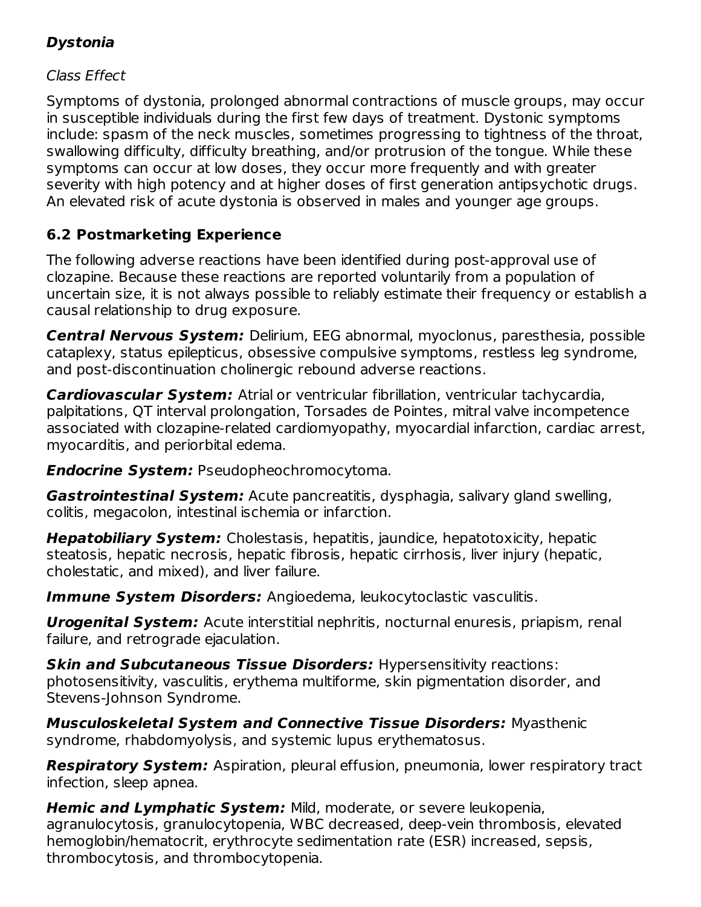# **Dystonia**

Class Effect

Symptoms of dystonia, prolonged abnormal contractions of muscle groups, may occur in susceptible individuals during the first few days of treatment. Dystonic symptoms include: spasm of the neck muscles, sometimes progressing to tightness of the throat, swallowing difficulty, difficulty breathing, and/or protrusion of the tongue. While these symptoms can occur at low doses, they occur more frequently and with greater severity with high potency and at higher doses of first generation antipsychotic drugs. An elevated risk of acute dystonia is observed in males and younger age groups.

# **6.2 Postmarketing Experience**

The following adverse reactions have been identified during post-approval use of clozapine. Because these reactions are reported voluntarily from a population of uncertain size, it is not always possible to reliably estimate their frequency or establish a causal relationship to drug exposure.

**Central Nervous System:** Delirium, EEG abnormal, myoclonus, paresthesia, possible cataplexy, status epilepticus, obsessive compulsive symptoms, restless leg syndrome, and post-discontinuation cholinergic rebound adverse reactions.

**Cardiovascular System:** Atrial or ventricular fibrillation, ventricular tachycardia, palpitations, QT interval prolongation, Torsades de Pointes, mitral valve incompetence associated with clozapine-related cardiomyopathy, myocardial infarction, cardiac arrest, myocarditis, and periorbital edema.

**Endocrine System:** Pseudopheochromocytoma.

**Gastrointestinal System:** Acute pancreatitis, dysphagia, salivary gland swelling, colitis, megacolon, intestinal ischemia or infarction.

**Hepatobiliary System:** Cholestasis, hepatitis, jaundice, hepatotoxicity, hepatic steatosis, hepatic necrosis, hepatic fibrosis, hepatic cirrhosis, liver injury (hepatic, cholestatic, and mixed), and liver failure.

**Immune System Disorders:** Angioedema, leukocytoclastic vasculitis.

**Urogenital System:** Acute interstitial nephritis, nocturnal enuresis, priapism, renal failure, and retrograde ejaculation.

**Skin and Subcutaneous Tissue Disorders:** Hypersensitivity reactions: photosensitivity, vasculitis, erythema multiforme, skin pigmentation disorder, and Stevens-Johnson Syndrome.

**Musculoskeletal System and Connective Tissue Disorders:** Myasthenic syndrome, rhabdomyolysis, and systemic lupus erythematosus.

**Respiratory System:** Aspiration, pleural effusion, pneumonia, lower respiratory tract infection, sleep apnea.

**Hemic and Lymphatic System:** Mild, moderate, or severe leukopenia, agranulocytosis, granulocytopenia, WBC decreased, deep-vein thrombosis, elevated hemoglobin/hematocrit, erythrocyte sedimentation rate (ESR) increased, sepsis, thrombocytosis, and thrombocytopenia.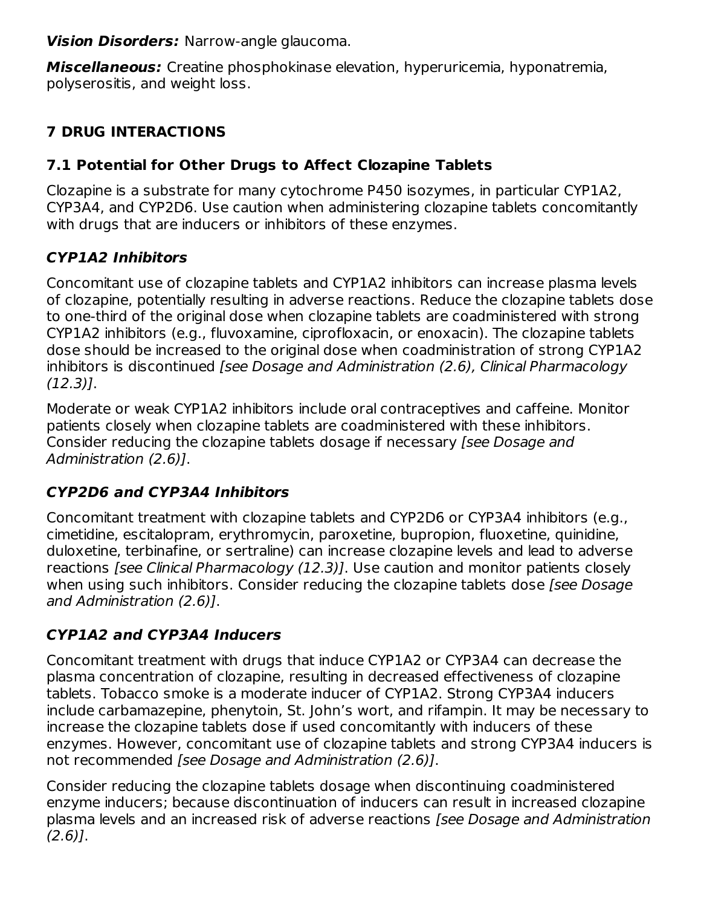**Vision Disorders:** Narrow-angle glaucoma.

**Miscellaneous:** Creatine phosphokinase elevation, hyperuricemia, hyponatremia, polyserositis, and weight loss.

# **7 DRUG INTERACTIONS**

# **7.1 Potential for Other Drugs to Affect Clozapine Tablets**

Clozapine is a substrate for many cytochrome P450 isozymes, in particular CYP1A2, CYP3A4, and CYP2D6. Use caution when administering clozapine tablets concomitantly with drugs that are inducers or inhibitors of these enzymes.

# **CYP1A2 Inhibitors**

Concomitant use of clozapine tablets and CYP1A2 inhibitors can increase plasma levels of clozapine, potentially resulting in adverse reactions. Reduce the clozapine tablets dose to one-third of the original dose when clozapine tablets are coadministered with strong CYP1A2 inhibitors (e.g., fluvoxamine, ciprofloxacin, or enoxacin). The clozapine tablets dose should be increased to the original dose when coadministration of strong CYP1A2 inhibitors is discontinued [see Dosage and Administration (2.6), Clinical Pharmacology (12.3)].

Moderate or weak CYP1A2 inhibitors include oral contraceptives and caffeine. Monitor patients closely when clozapine tablets are coadministered with these inhibitors. Consider reducing the clozapine tablets dosage if necessary [see Dosage and Administration (2.6)].

# **CYP2D6 and CYP3A4 Inhibitors**

Concomitant treatment with clozapine tablets and CYP2D6 or CYP3A4 inhibitors (e.g., cimetidine, escitalopram, erythromycin, paroxetine, bupropion, fluoxetine, quinidine, duloxetine, terbinafine, or sertraline) can increase clozapine levels and lead to adverse reactions [see Clinical Pharmacology (12.3)]. Use caution and monitor patients closely when using such inhibitors. Consider reducing the clozapine tablets dose [see Dosage] and Administration (2.6)].

# **CYP1A2 and CYP3A4 Inducers**

Concomitant treatment with drugs that induce CYP1A2 or CYP3A4 can decrease the plasma concentration of clozapine, resulting in decreased effectiveness of clozapine tablets. Tobacco smoke is a moderate inducer of CYP1A2. Strong CYP3A4 inducers include carbamazepine, phenytoin, St. John's wort, and rifampin. It may be necessary to increase the clozapine tablets dose if used concomitantly with inducers of these enzymes. However, concomitant use of clozapine tablets and strong CYP3A4 inducers is not recommended [see Dosage and Administration (2.6)].

Consider reducing the clozapine tablets dosage when discontinuing coadministered enzyme inducers; because discontinuation of inducers can result in increased clozapine plasma levels and an increased risk of adverse reactions [see Dosage and Administration  $(2.6)$ ].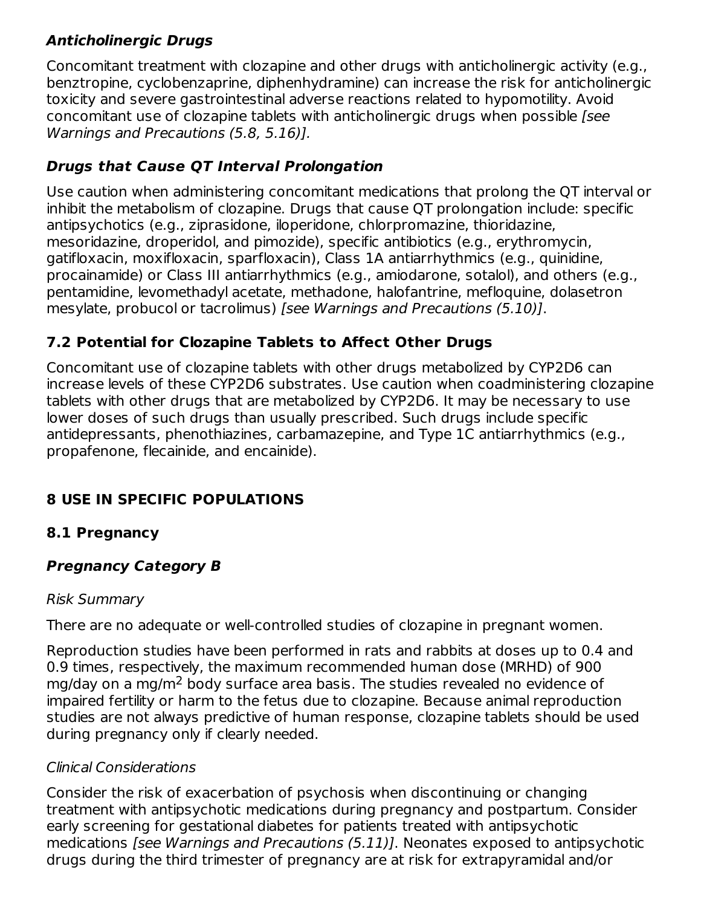# **Anticholinergic Drugs**

Concomitant treatment with clozapine and other drugs with anticholinergic activity (e.g., benztropine, cyclobenzaprine, diphenhydramine) can increase the risk for anticholinergic toxicity and severe gastrointestinal adverse reactions related to hypomotility. Avoid concomitant use of clozapine tablets with anticholinergic drugs when possible [see Warnings and Precautions (5.8, 5.16)].

# **Drugs that Cause QT Interval Prolongation**

Use caution when administering concomitant medications that prolong the QT interval or inhibit the metabolism of clozapine. Drugs that cause QT prolongation include: specific antipsychotics (e.g., ziprasidone, iloperidone, chlorpromazine, thioridazine, mesoridazine, droperidol, and pimozide), specific antibiotics (e.g., erythromycin, gatifloxacin, moxifloxacin, sparfloxacin), Class 1A antiarrhythmics (e.g., quinidine, procainamide) or Class III antiarrhythmics (e.g., amiodarone, sotalol), and others (e.g., pentamidine, levomethadyl acetate, methadone, halofantrine, mefloquine, dolasetron mesylate, probucol or tacrolimus) [see Warnings and Precautions (5.10)].

# **7.2 Potential for Clozapine Tablets to Affect Other Drugs**

Concomitant use of clozapine tablets with other drugs metabolized by CYP2D6 can increase levels of these CYP2D6 substrates. Use caution when coadministering clozapine tablets with other drugs that are metabolized by CYP2D6. It may be necessary to use lower doses of such drugs than usually prescribed. Such drugs include specific antidepressants, phenothiazines, carbamazepine, and Type 1C antiarrhythmics (e.g., propafenone, flecainide, and encainide).

# **8 USE IN SPECIFIC POPULATIONS**

# **8.1 Pregnancy**

# **Pregnancy Category B**

#### Risk Summary

There are no adequate or well-controlled studies of clozapine in pregnant women.

Reproduction studies have been performed in rats and rabbits at doses up to 0.4 and 0.9 times, respectively, the maximum recommended human dose (MRHD) of 900 mg/day on a mg/m<sup>2</sup> body surface area basis. The studies revealed no evidence of impaired fertility or harm to the fetus due to clozapine. Because animal reproduction studies are not always predictive of human response, clozapine tablets should be used during pregnancy only if clearly needed.

# Clinical Considerations

Consider the risk of exacerbation of psychosis when discontinuing or changing treatment with antipsychotic medications during pregnancy and postpartum. Consider early screening for gestational diabetes for patients treated with antipsychotic medications [see Warnings and Precautions (5.11)]. Neonates exposed to antipsychotic drugs during the third trimester of pregnancy are at risk for extrapyramidal and/or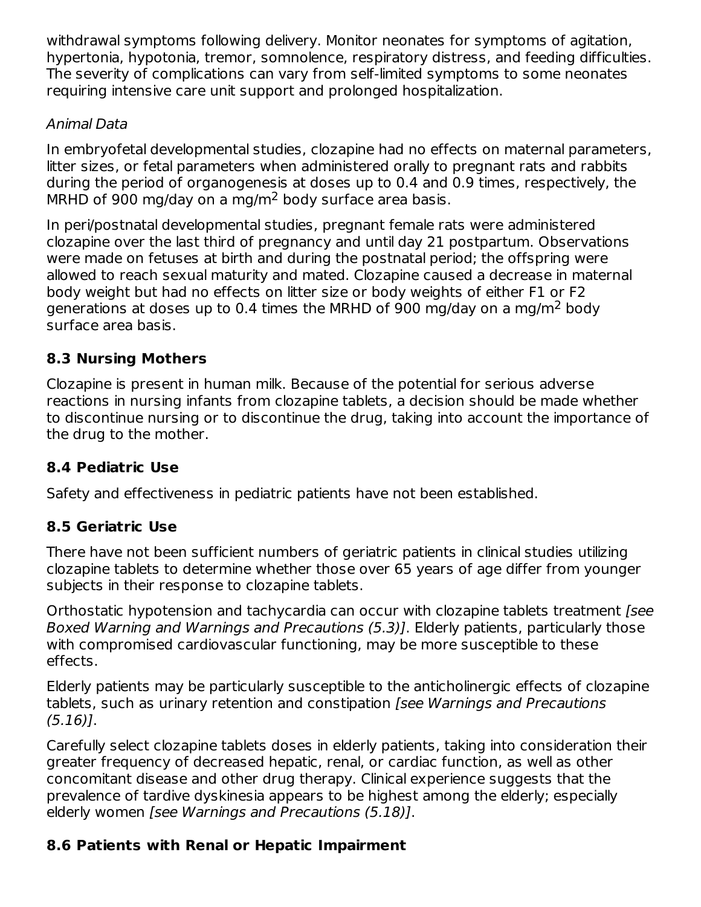withdrawal symptoms following delivery. Monitor neonates for symptoms of agitation, hypertonia, hypotonia, tremor, somnolence, respiratory distress, and feeding difficulties. The severity of complications can vary from self-limited symptoms to some neonates requiring intensive care unit support and prolonged hospitalization.

#### Animal Data

In embryofetal developmental studies, clozapine had no effects on maternal parameters, litter sizes, or fetal parameters when administered orally to pregnant rats and rabbits during the period of organogenesis at doses up to 0.4 and 0.9 times, respectively, the MRHD of 900 mg/day on a mg/m<sup>2</sup> body surface area basis.

In peri/postnatal developmental studies, pregnant female rats were administered clozapine over the last third of pregnancy and until day 21 postpartum. Observations were made on fetuses at birth and during the postnatal period; the offspring were allowed to reach sexual maturity and mated. Clozapine caused a decrease in maternal body weight but had no effects on litter size or body weights of either F1 or F2 generations at doses up to 0.4 times the MRHD of 900 mg/day on a mg/m<sup>2</sup> body surface area basis.

# **8.3 Nursing Mothers**

Clozapine is present in human milk. Because of the potential for serious adverse reactions in nursing infants from clozapine tablets, a decision should be made whether to discontinue nursing or to discontinue the drug, taking into account the importance of the drug to the mother.

# **8.4 Pediatric Use**

Safety and effectiveness in pediatric patients have not been established.

# **8.5 Geriatric Use**

There have not been sufficient numbers of geriatric patients in clinical studies utilizing clozapine tablets to determine whether those over 65 years of age differ from younger subjects in their response to clozapine tablets.

Orthostatic hypotension and tachycardia can occur with clozapine tablets treatment [see Boxed Warning and Warnings and Precautions (5.3)]. Elderly patients, particularly those with compromised cardiovascular functioning, may be more susceptible to these effects.

Elderly patients may be particularly susceptible to the anticholinergic effects of clozapine tablets, such as urinary retention and constipation [see Warnings and Precautions (5.16)].

Carefully select clozapine tablets doses in elderly patients, taking into consideration their greater frequency of decreased hepatic, renal, or cardiac function, as well as other concomitant disease and other drug therapy. Clinical experience suggests that the prevalence of tardive dyskinesia appears to be highest among the elderly; especially elderly women [see Warnings and Precautions (5.18)].

# **8.6 Patients with Renal or Hepatic Impairment**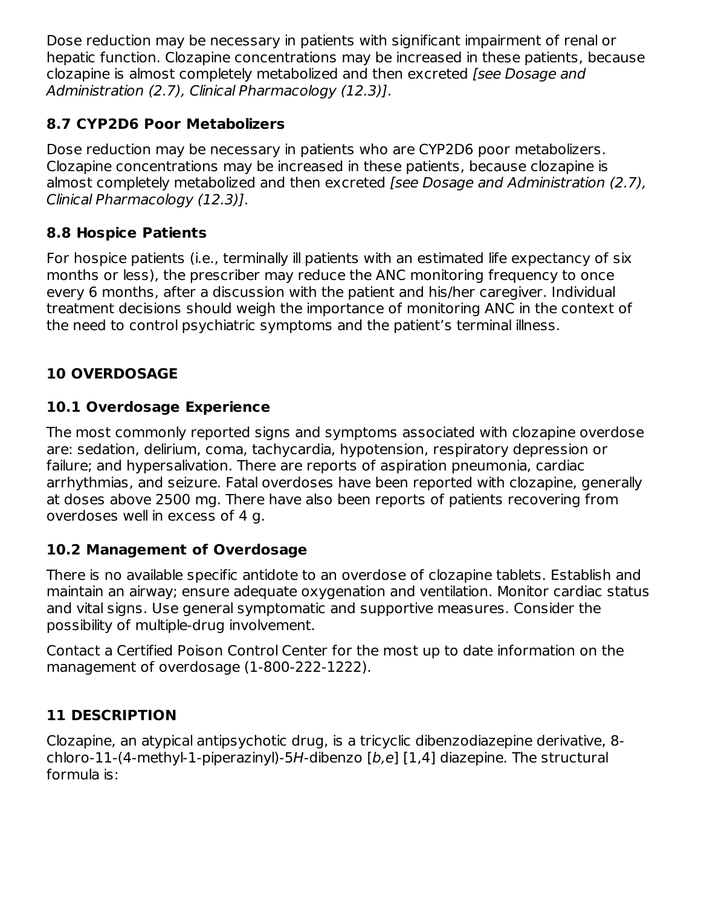Dose reduction may be necessary in patients with significant impairment of renal or hepatic function. Clozapine concentrations may be increased in these patients, because clozapine is almost completely metabolized and then excreted [see Dosage and Administration (2.7), Clinical Pharmacology (12.3)].

### **8.7 CYP2D6 Poor Metabolizers**

Dose reduction may be necessary in patients who are CYP2D6 poor metabolizers. Clozapine concentrations may be increased in these patients, because clozapine is almost completely metabolized and then excreted [see Dosage and Administration (2.7), Clinical Pharmacology (12.3)].

#### **8.8 Hospice Patients**

For hospice patients (i.e., terminally ill patients with an estimated life expectancy of six months or less), the prescriber may reduce the ANC monitoring frequency to once every 6 months, after a discussion with the patient and his/her caregiver. Individual treatment decisions should weigh the importance of monitoring ANC in the context of the need to control psychiatric symptoms and the patient's terminal illness.

# **10 OVERDOSAGE**

#### **10.1 Overdosage Experience**

The most commonly reported signs and symptoms associated with clozapine overdose are: sedation, delirium, coma, tachycardia, hypotension, respiratory depression or failure; and hypersalivation. There are reports of aspiration pneumonia, cardiac arrhythmias, and seizure. Fatal overdoses have been reported with clozapine, generally at doses above 2500 mg. There have also been reports of patients recovering from overdoses well in excess of 4 g.

#### **10.2 Management of Overdosage**

There is no available specific antidote to an overdose of clozapine tablets. Establish and maintain an airway; ensure adequate oxygenation and ventilation. Monitor cardiac status and vital signs. Use general symptomatic and supportive measures. Consider the possibility of multiple-drug involvement.

Contact a Certified Poison Control Center for the most up to date information on the management of overdosage (1-800-222-1222).

# **11 DESCRIPTION**

Clozapine, an atypical antipsychotic drug, is a tricyclic dibenzodiazepine derivative, 8 chloro-11-(4-methyl-1-piperazinyl)-5H-dibenzo [b,e] [1,4] diazepine. The structural formula is: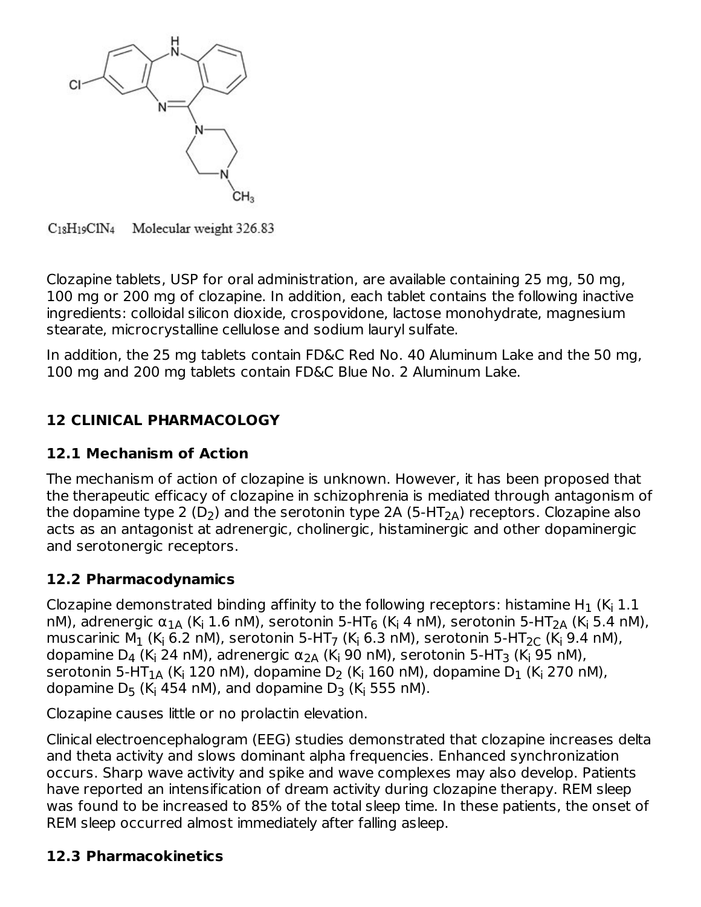

C<sub>18</sub>H<sub>19</sub>ClN<sub>4</sub> Molecular weight 326.83

Clozapine tablets, USP for oral administration, are available containing 25 mg, 50 mg, 100 mg or 200 mg of clozapine. In addition, each tablet contains the following inactive ingredients: colloidal silicon dioxide, crospovidone, lactose monohydrate, magnesium stearate, microcrystalline cellulose and sodium lauryl sulfate.

In addition, the 25 mg tablets contain FD&C Red No. 40 Aluminum Lake and the 50 mg, 100 mg and 200 mg tablets contain FD&C Blue No. 2 Aluminum Lake.

# **12 CLINICAL PHARMACOLOGY**

### **12.1 Mechanism of Action**

The mechanism of action of clozapine is unknown. However, it has been proposed that the therapeutic efficacy of clozapine in schizophrenia is mediated through antagonism of the dopamine type 2 (D<sub>2</sub>) and the serotonin type 2A (5-HT<sub>2A</sub>) receptors. Clozapine also acts as an antagonist at adrenergic, cholinergic, histaminergic and other dopaminergic and serotonergic receptors.

#### **12.2 Pharmacodynamics**

Clozapine demonstrated binding affinity to the following receptors: histamine H $_1$  (K $_{\sf i}$  1.1  $\;$ nM), adrenergic α $_{1}$  (K<sub>i</sub> 1.6 nM), serotonin 5-HT<sub>6</sub> (K<sub>i</sub> 4 nM), serotonin 5-HT<sub>2A</sub> (K<sub>i</sub> 5.4 nM), muscarinic M $_1$  (K<sub>i</sub> 6.2 nM), serotonin 5-HT<sub>7</sub> (K<sub>i</sub> 6.3 nM), serotonin 5-HT $_{2 \text{C}}$  (K<sub>i</sub> 9.4 nM), dopamine D $_4$  (K<sub>i</sub> 24 nM), adrenergic  $\alpha_{\text{2A}}$  (K<sub>i</sub> 90 nM), serotonin 5-HT<sub>3</sub> (K<sub>i</sub> 95 nM), serotonin 5-HT $_{\rm 1A}$  (K<sub>i</sub> 120 nM), dopamine D<sub>2</sub> (K<sub>i</sub> 160 nM), dopamine D $_{\rm 1}$  (K<sub>i</sub> 270 nM), dopamine D $_5$  (K $_4$  454 nM), and dopamine D $_3$  (K $_4$  555 nM).

Clozapine causes little or no prolactin elevation.

Clinical electroencephalogram (EEG) studies demonstrated that clozapine increases delta and theta activity and slows dominant alpha frequencies. Enhanced synchronization occurs. Sharp wave activity and spike and wave complexes may also develop. Patients have reported an intensification of dream activity during clozapine therapy. REM sleep was found to be increased to 85% of the total sleep time. In these patients, the onset of REM sleep occurred almost immediately after falling asleep.

#### **12.3 Pharmacokinetics**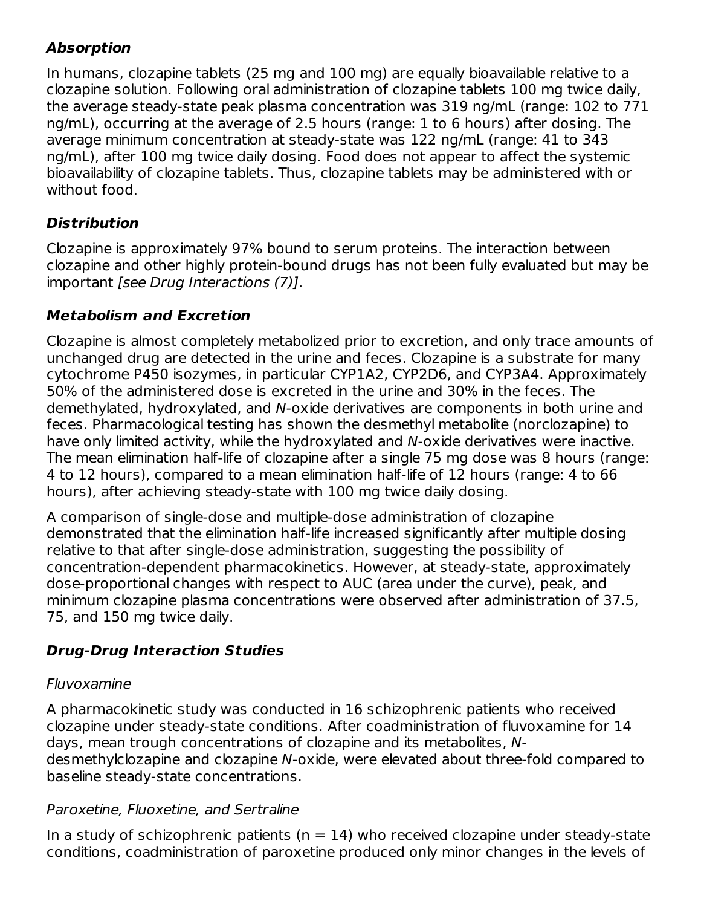# **Absorption**

In humans, clozapine tablets (25 mg and 100 mg) are equally bioavailable relative to a clozapine solution. Following oral administration of clozapine tablets 100 mg twice daily, the average steady-state peak plasma concentration was 319 ng/mL (range: 102 to 771 ng/mL), occurring at the average of 2.5 hours (range: 1 to 6 hours) after dosing. The average minimum concentration at steady-state was 122 ng/mL (range: 41 to 343 ng/mL), after 100 mg twice daily dosing. Food does not appear to affect the systemic bioavailability of clozapine tablets. Thus, clozapine tablets may be administered with or without food.

# **Distribution**

Clozapine is approximately 97% bound to serum proteins. The interaction between clozapine and other highly protein-bound drugs has not been fully evaluated but may be important [see Drug Interactions (7)].

# **Metabolism and Excretion**

Clozapine is almost completely metabolized prior to excretion, and only trace amounts of unchanged drug are detected in the urine and feces. Clozapine is a substrate for many cytochrome P450 isozymes, in particular CYP1A2, CYP2D6, and CYP3A4. Approximately 50% of the administered dose is excreted in the urine and 30% in the feces. The demethylated, hydroxylated, and N-oxide derivatives are components in both urine and feces. Pharmacological testing has shown the desmethyl metabolite (norclozapine) to have only limited activity, while the hydroxylated and N-oxide derivatives were inactive. The mean elimination half-life of clozapine after a single 75 mg dose was 8 hours (range: 4 to 12 hours), compared to a mean elimination half-life of 12 hours (range: 4 to 66 hours), after achieving steady-state with 100 mg twice daily dosing.

A comparison of single-dose and multiple-dose administration of clozapine demonstrated that the elimination half-life increased significantly after multiple dosing relative to that after single-dose administration, suggesting the possibility of concentration-dependent pharmacokinetics. However, at steady-state, approximately dose-proportional changes with respect to AUC (area under the curve), peak, and minimum clozapine plasma concentrations were observed after administration of 37.5, 75, and 150 mg twice daily.

# **Drug-Drug Interaction Studies**

# Fluvoxamine

A pharmacokinetic study was conducted in 16 schizophrenic patients who received clozapine under steady-state conditions. After coadministration of fluvoxamine for 14 days, mean trough concentrations of clozapine and its metabolites, Ndesmethylclozapine and clozapine N-oxide, were elevated about three-fold compared to baseline steady-state concentrations.

# Paroxetine, Fluoxetine, and Sertraline

In a study of schizophrenic patients ( $n = 14$ ) who received clozapine under steady-state conditions, coadministration of paroxetine produced only minor changes in the levels of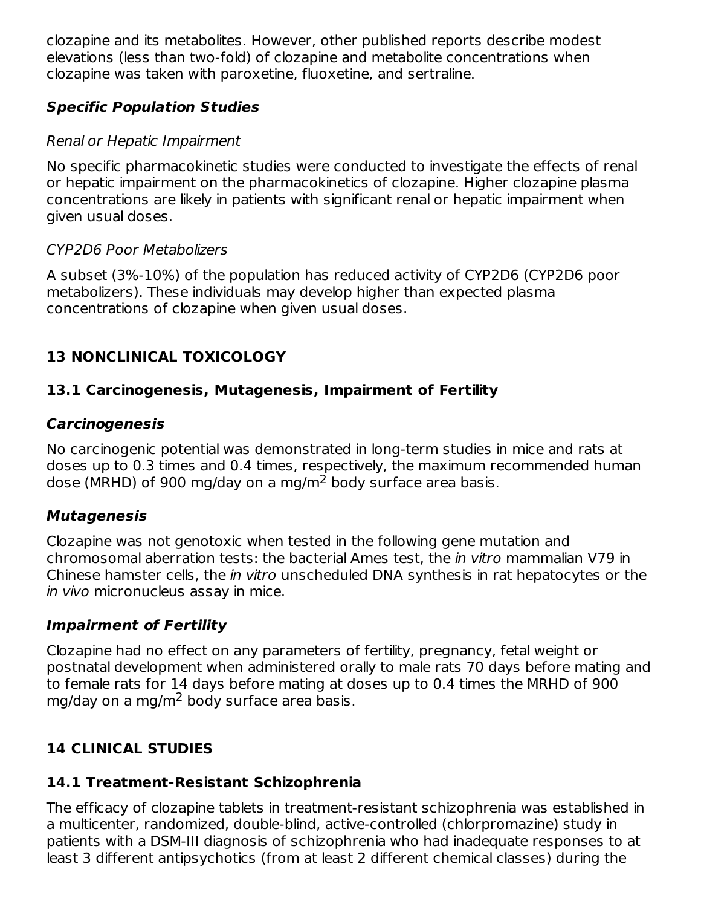clozapine and its metabolites. However, other published reports describe modest elevations (less than two-fold) of clozapine and metabolite concentrations when clozapine was taken with paroxetine, fluoxetine, and sertraline.

# **Specific Population Studies**

#### Renal or Hepatic Impairment

No specific pharmacokinetic studies were conducted to investigate the effects of renal or hepatic impairment on the pharmacokinetics of clozapine. Higher clozapine plasma concentrations are likely in patients with significant renal or hepatic impairment when given usual doses.

#### CYP2D6 Poor Metabolizers

A subset (3%-10%) of the population has reduced activity of CYP2D6 (CYP2D6 poor metabolizers). These individuals may develop higher than expected plasma concentrations of clozapine when given usual doses.

# **13 NONCLINICAL TOXICOLOGY**

### **13.1 Carcinogenesis, Mutagenesis, Impairment of Fertility**

#### **Carcinogenesis**

No carcinogenic potential was demonstrated in long-term studies in mice and rats at doses up to 0.3 times and 0.4 times, respectively, the maximum recommended human dose (MRHD) of 900 mg/day on a mg/m<sup>2</sup> body surface area basis.

#### **Mutagenesis**

Clozapine was not genotoxic when tested in the following gene mutation and chromosomal aberration tests: the bacterial Ames test, the in vitro mammalian V79 in Chinese hamster cells, the in vitro unscheduled DNA synthesis in rat hepatocytes or the in vivo micronucleus assay in mice.

#### **Impairment of Fertility**

Clozapine had no effect on any parameters of fertility, pregnancy, fetal weight or postnatal development when administered orally to male rats 70 days before mating and to female rats for 14 days before mating at doses up to 0.4 times the MRHD of 900 mg/day on a mg/m<sup>2</sup> body surface area basis.

# **14 CLINICAL STUDIES**

# **14.1 Treatment-Resistant Schizophrenia**

The efficacy of clozapine tablets in treatment-resistant schizophrenia was established in a multicenter, randomized, double-blind, active-controlled (chlorpromazine) study in patients with a DSM-III diagnosis of schizophrenia who had inadequate responses to at least 3 different antipsychotics (from at least 2 different chemical classes) during the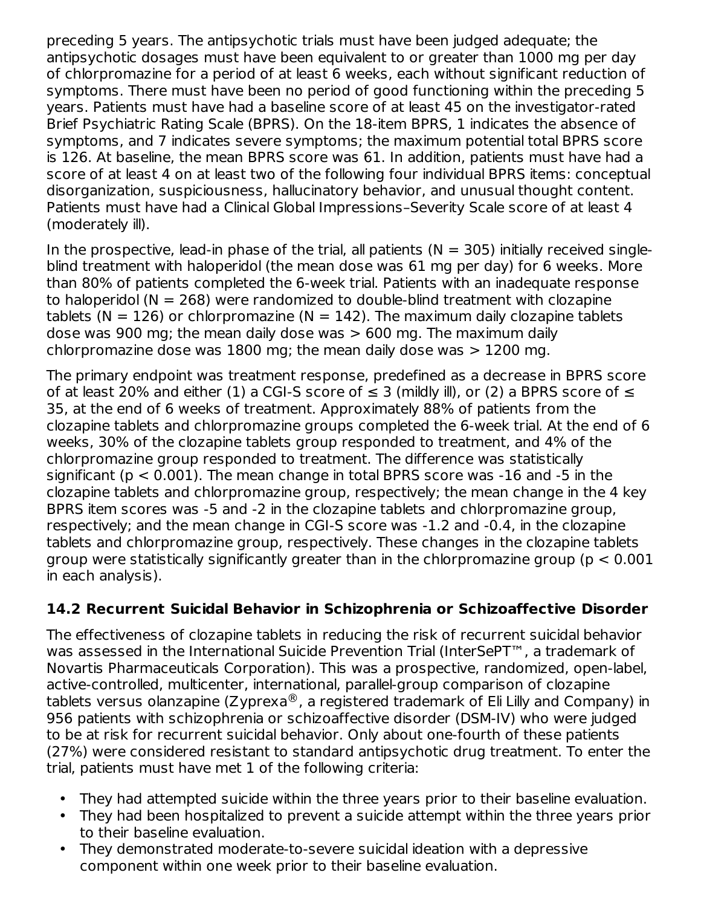preceding 5 years. The antipsychotic trials must have been judged adequate; the antipsychotic dosages must have been equivalent to or greater than 1000 mg per day of chlorpromazine for a period of at least 6 weeks, each without significant reduction of symptoms. There must have been no period of good functioning within the preceding 5 years. Patients must have had a baseline score of at least 45 on the investigator-rated Brief Psychiatric Rating Scale (BPRS). On the 18-item BPRS, 1 indicates the absence of symptoms, and 7 indicates severe symptoms; the maximum potential total BPRS score is 126. At baseline, the mean BPRS score was 61. In addition, patients must have had a score of at least 4 on at least two of the following four individual BPRS items: conceptual disorganization, suspiciousness, hallucinatory behavior, and unusual thought content. Patients must have had a Clinical Global Impressions–Severity Scale score of at least 4 (moderately ill).

In the prospective, lead-in phase of the trial, all patients ( $N = 305$ ) initially received singleblind treatment with haloperidol (the mean dose was 61 mg per day) for 6 weeks. More than 80% of patients completed the 6-week trial. Patients with an inadequate response to haloperidol ( $N = 268$ ) were randomized to double-blind treatment with clozapine tablets ( $N = 126$ ) or chlorpromazine ( $N = 142$ ). The maximum daily clozapine tablets dose was 900 mg; the mean daily dose was  $> 600$  mg. The maximum daily chlorpromazine dose was 1800 mg; the mean daily dose was  $> 1200$  mg.

The primary endpoint was treatment response, predefined as a decrease in BPRS score of at least 20% and either (1) a CGI-S score of  $\leq$  3 (mildly ill), or (2) a BPRS score of  $\leq$ 35, at the end of 6 weeks of treatment. Approximately 88% of patients from the clozapine tablets and chlorpromazine groups completed the 6-week trial. At the end of 6 weeks, 30% of the clozapine tablets group responded to treatment, and 4% of the chlorpromazine group responded to treatment. The difference was statistically significant (p < 0.001). The mean change in total BPRS score was -16 and -5 in the clozapine tablets and chlorpromazine group, respectively; the mean change in the 4 key BPRS item scores was -5 and -2 in the clozapine tablets and chlorpromazine group, respectively; and the mean change in CGI-S score was -1.2 and -0.4, in the clozapine tablets and chlorpromazine group, respectively. These changes in the clozapine tablets group were statistically significantly greater than in the chlorpromazine group ( $p < 0.001$ in each analysis).

# **14.2 Recurrent Suicidal Behavior in Schizophrenia or Schizoaffective Disorder**

The effectiveness of clozapine tablets in reducing the risk of recurrent suicidal behavior was assessed in the International Suicide Prevention Trial (InterSePT™, a trademark of Novartis Pharmaceuticals Corporation). This was a prospective, randomized, open-label, active-controlled, multicenter, international, parallel-group comparison of clozapine tablets versus olanzapine (Zyprexa $^\circledR$ , a registered trademark of Eli Lilly and Company) in 956 patients with schizophrenia or schizoaffective disorder (DSM-IV) who were judged to be at risk for recurrent suicidal behavior. Only about one-fourth of these patients (27%) were considered resistant to standard antipsychotic drug treatment. To enter the trial, patients must have met 1 of the following criteria:

- They had attempted suicide within the three years prior to their baseline evaluation.
- They had been hospitalized to prevent a suicide attempt within the three years prior to their baseline evaluation.
- They demonstrated moderate-to-severe suicidal ideation with a depressive component within one week prior to their baseline evaluation.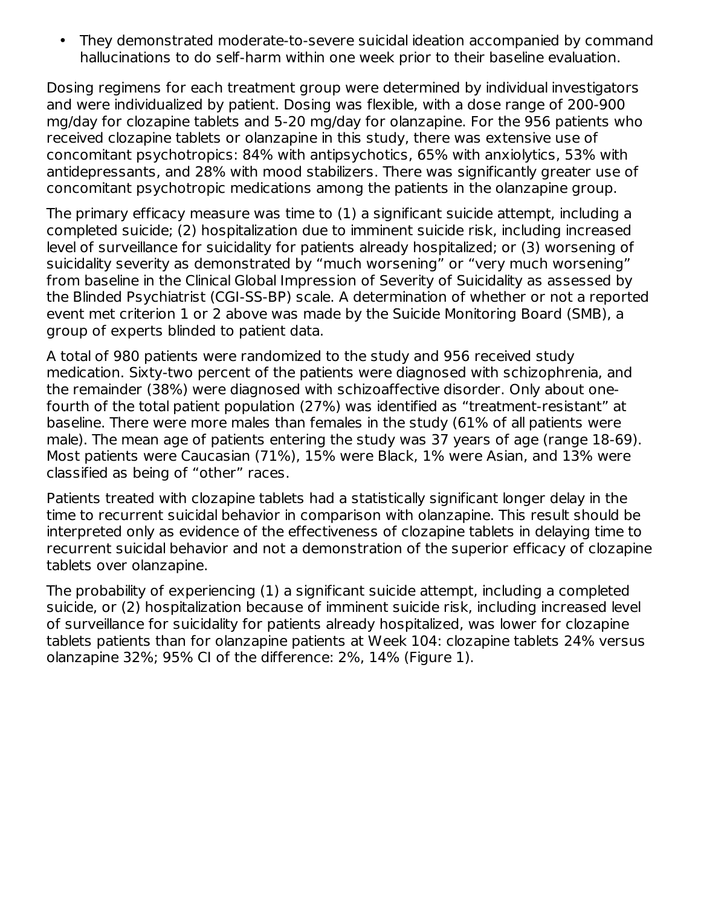• They demonstrated moderate-to-severe suicidal ideation accompanied by command hallucinations to do self-harm within one week prior to their baseline evaluation.

Dosing regimens for each treatment group were determined by individual investigators and were individualized by patient. Dosing was flexible, with a dose range of 200-900 mg/day for clozapine tablets and 5-20 mg/day for olanzapine. For the 956 patients who received clozapine tablets or olanzapine in this study, there was extensive use of concomitant psychotropics: 84% with antipsychotics, 65% with anxiolytics, 53% with antidepressants, and 28% with mood stabilizers. There was significantly greater use of concomitant psychotropic medications among the patients in the olanzapine group.

The primary efficacy measure was time to (1) a significant suicide attempt, including a completed suicide; (2) hospitalization due to imminent suicide risk, including increased level of surveillance for suicidality for patients already hospitalized; or (3) worsening of suicidality severity as demonstrated by "much worsening" or "very much worsening" from baseline in the Clinical Global Impression of Severity of Suicidality as assessed by the Blinded Psychiatrist (CGI-SS-BP) scale. A determination of whether or not a reported event met criterion 1 or 2 above was made by the Suicide Monitoring Board (SMB), a group of experts blinded to patient data.

A total of 980 patients were randomized to the study and 956 received study medication. Sixty-two percent of the patients were diagnosed with schizophrenia, and the remainder (38%) were diagnosed with schizoaffective disorder. Only about onefourth of the total patient population (27%) was identified as "treatment-resistant" at baseline. There were more males than females in the study (61% of all patients were male). The mean age of patients entering the study was 37 years of age (range 18-69). Most patients were Caucasian (71%), 15% were Black, 1% were Asian, and 13% were classified as being of "other" races.

Patients treated with clozapine tablets had a statistically significant longer delay in the time to recurrent suicidal behavior in comparison with olanzapine. This result should be interpreted only as evidence of the effectiveness of clozapine tablets in delaying time to recurrent suicidal behavior and not a demonstration of the superior efficacy of clozapine tablets over olanzapine.

The probability of experiencing (1) a significant suicide attempt, including a completed suicide, or (2) hospitalization because of imminent suicide risk, including increased level of surveillance for suicidality for patients already hospitalized, was lower for clozapine tablets patients than for olanzapine patients at Week 104: clozapine tablets 24% versus olanzapine 32%; 95% CI of the difference: 2%, 14% (Figure 1).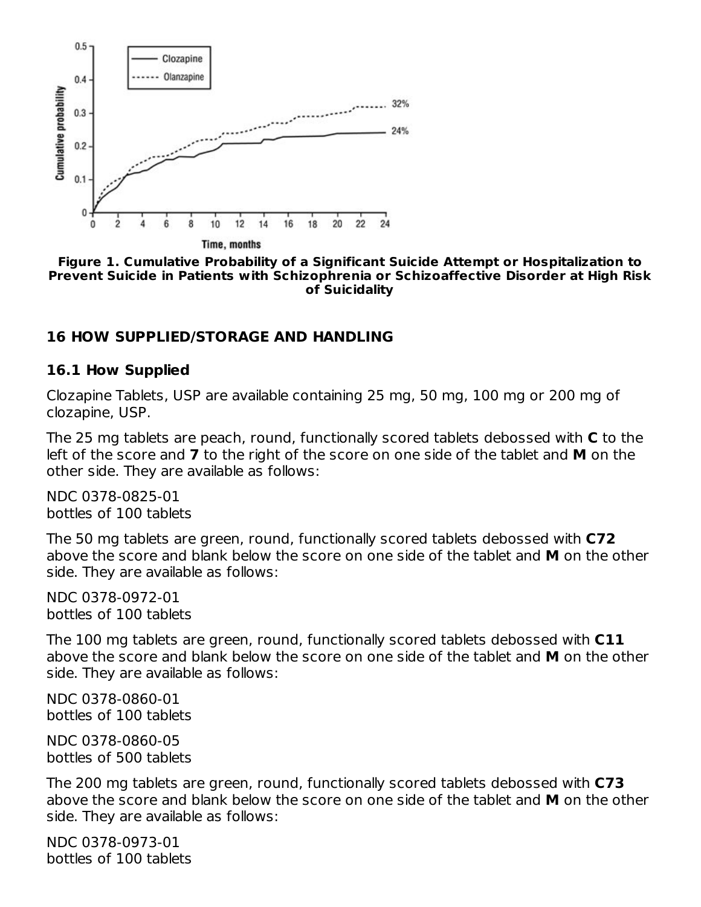

**Figure 1. Cumulative Probability of a Significant Suicide Attempt or Hospitalization to Prevent Suicide in Patients with Schizophrenia or Schizoaffective Disorder at High Risk of Suicidality**

#### **16 HOW SUPPLIED/STORAGE AND HANDLING**

#### **16.1 How Supplied**

Clozapine Tablets, USP are available containing 25 mg, 50 mg, 100 mg or 200 mg of clozapine, USP.

The 25 mg tablets are peach, round, functionally scored tablets debossed with **C** to the left of the score and **7** to the right of the score on one side of the tablet and **M** on the other side. They are available as follows:

NDC 0378-0825-01 bottles of 100 tablets

The 50 mg tablets are green, round, functionally scored tablets debossed with **C72** above the score and blank below the score on one side of the tablet and **M** on the other side. They are available as follows:

NDC 0378-0972-01 bottles of 100 tablets

The 100 mg tablets are green, round, functionally scored tablets debossed with **C11** above the score and blank below the score on one side of the tablet and **M** on the other side. They are available as follows:

NDC 0378-0860-01 bottles of 100 tablets

NDC 0378-0860-05 bottles of 500 tablets

The 200 mg tablets are green, round, functionally scored tablets debossed with **C73** above the score and blank below the score on one side of the tablet and **M** on the other side. They are available as follows:

NDC 0378-0973-01 bottles of 100 tablets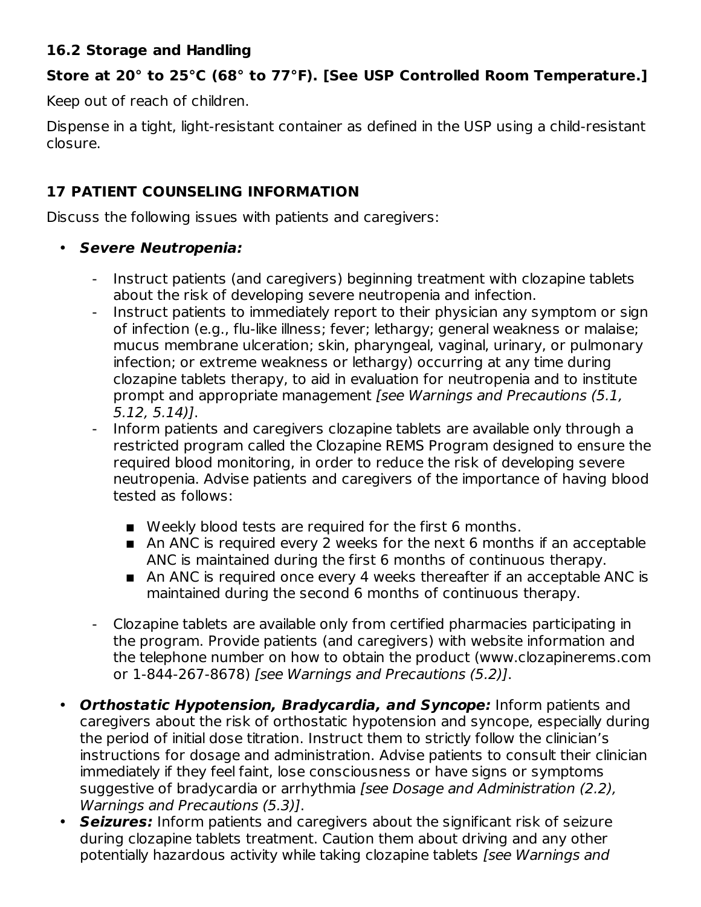#### **16.2 Storage and Handling**

#### **Store at 20° to 25°C (68° to 77°F). [See USP Controlled Room Temperature.]**

Keep out of reach of children.

Dispense in a tight, light-resistant container as defined in the USP using a child-resistant closure.

### **17 PATIENT COUNSELING INFORMATION**

Discuss the following issues with patients and caregivers:

#### • **Severe Neutropenia:**

- Instruct patients (and caregivers) beginning treatment with clozapine tablets about the risk of developing severe neutropenia and infection.
- Instruct patients to immediately report to their physician any symptom or sign of infection (e.g., flu-like illness; fever; lethargy; general weakness or malaise; mucus membrane ulceration; skin, pharyngeal, vaginal, urinary, or pulmonary infection; or extreme weakness or lethargy) occurring at any time during clozapine tablets therapy, to aid in evaluation for neutropenia and to institute prompt and appropriate management [see Warnings and Precautions (5.1, 5.12, 5.14)].
- Inform patients and caregivers clozapine tablets are available only through a restricted program called the Clozapine REMS Program designed to ensure the required blood monitoring, in order to reduce the risk of developing severe neutropenia. Advise patients and caregivers of the importance of having blood tested as follows:
	- Weekly blood tests are required for the first 6 months.
	- An ANC is required every 2 weeks for the next 6 months if an acceptable ANC is maintained during the first 6 months of continuous therapy.
	- An ANC is required once every 4 weeks thereafter if an acceptable ANC is maintained during the second 6 months of continuous therapy.
- Clozapine tablets are available only from certified pharmacies participating in the program. Provide patients (and caregivers) with website information and the telephone number on how to obtain the product (www.clozapinerems.com or 1-844-267-8678) [see Warnings and Precautions (5.2)].
- **Orthostatic Hypotension, Bradycardia, and Syncope:** Inform patients and caregivers about the risk of orthostatic hypotension and syncope, especially during the period of initial dose titration. Instruct them to strictly follow the clinician's instructions for dosage and administration. Advise patients to consult their clinician immediately if they feel faint, lose consciousness or have signs or symptoms suggestive of bradycardia or arrhythmia [see Dosage and Administration (2.2), Warnings and Precautions (5.3)].
- **Seizures:** Inform patients and caregivers about the significant risk of seizure during clozapine tablets treatment. Caution them about driving and any other potentially hazardous activity while taking clozapine tablets [see Warnings and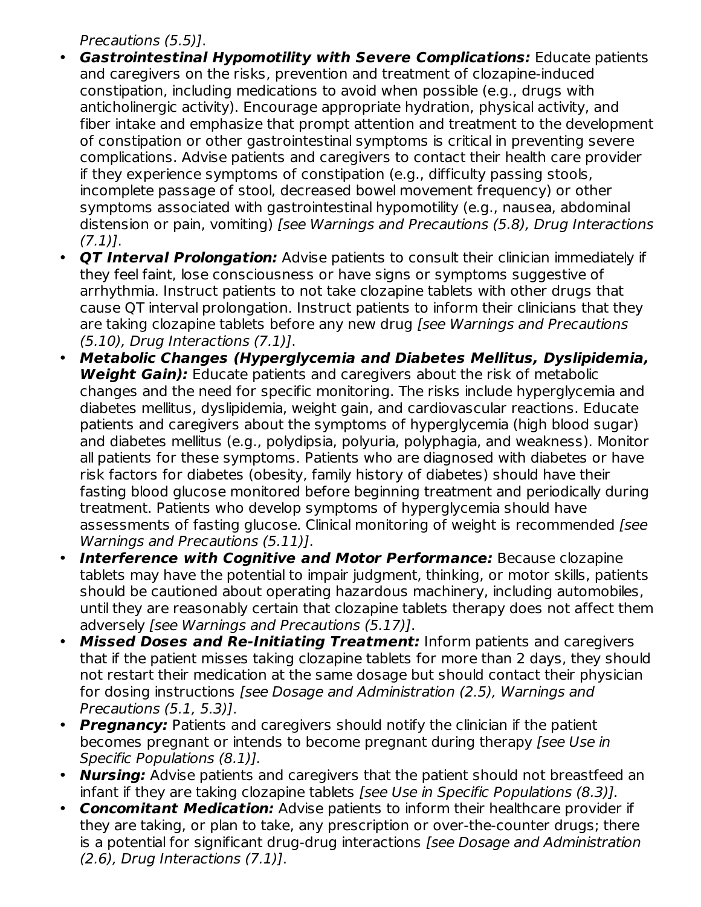Precautions (5.5)].

- **Gastrointestinal Hypomotility with Severe Complications:** Educate patients and caregivers on the risks, prevention and treatment of clozapine-induced constipation, including medications to avoid when possible (e.g., drugs with anticholinergic activity). Encourage appropriate hydration, physical activity, and fiber intake and emphasize that prompt attention and treatment to the development of constipation or other gastrointestinal symptoms is critical in preventing severe complications. Advise patients and caregivers to contact their health care provider if they experience symptoms of constipation (e.g., difficulty passing stools, incomplete passage of stool, decreased bowel movement frequency) or other symptoms associated with gastrointestinal hypomotility (e.g., nausea, abdominal distension or pain, vomiting) [see Warnings and Precautions (5.8), Drug Interactions  $(7.1)$ ].
- **QT Interval Prolongation:** Advise patients to consult their clinician immediately if they feel faint, lose consciousness or have signs or symptoms suggestive of arrhythmia. Instruct patients to not take clozapine tablets with other drugs that cause QT interval prolongation. Instruct patients to inform their clinicians that they are taking clozapine tablets before any new drug [see Warnings and Precautions (5.10), Drug Interactions (7.1)].
- $\bullet$ **Metabolic Changes (Hyperglycemia and Diabetes Mellitus, Dyslipidemia, Weight Gain):** Educate patients and caregivers about the risk of metabolic changes and the need for specific monitoring. The risks include hyperglycemia and diabetes mellitus, dyslipidemia, weight gain, and cardiovascular reactions. Educate patients and caregivers about the symptoms of hyperglycemia (high blood sugar) and diabetes mellitus (e.g., polydipsia, polyuria, polyphagia, and weakness). Monitor all patients for these symptoms. Patients who are diagnosed with diabetes or have risk factors for diabetes (obesity, family history of diabetes) should have their fasting blood glucose monitored before beginning treatment and periodically during treatment. Patients who develop symptoms of hyperglycemia should have assessments of fasting glucose. Clinical monitoring of weight is recommended [see Warnings and Precautions (5.11)].
- **Interference with Cognitive and Motor Performance:** Because clozapine tablets may have the potential to impair judgment, thinking, or motor skills, patients should be cautioned about operating hazardous machinery, including automobiles, until they are reasonably certain that clozapine tablets therapy does not affect them adversely [see Warnings and Precautions (5.17)].
- **Missed Doses and Re-Initiating Treatment:** Inform patients and caregivers that if the patient misses taking clozapine tablets for more than 2 days, they should not restart their medication at the same dosage but should contact their physician for dosing instructions [see Dosage and Administration (2.5), Warnings and Precautions (5.1, 5.3)].
- **Pregnancy:** Patients and caregivers should notify the clinician if the patient becomes pregnant or intends to become pregnant during therapy [see Use in Specific Populations (8.1)].
- **Nursing:** Advise patients and caregivers that the patient should not breastfeed an infant if they are taking clozapine tablets [see Use in Specific Populations (8.3)].
- $\bullet$ **Concomitant Medication:** Advise patients to inform their healthcare provider if they are taking, or plan to take, any prescription or over-the-counter drugs; there is a potential for significant drug-drug interactions [see Dosage and Administration (2.6), Drug Interactions (7.1)].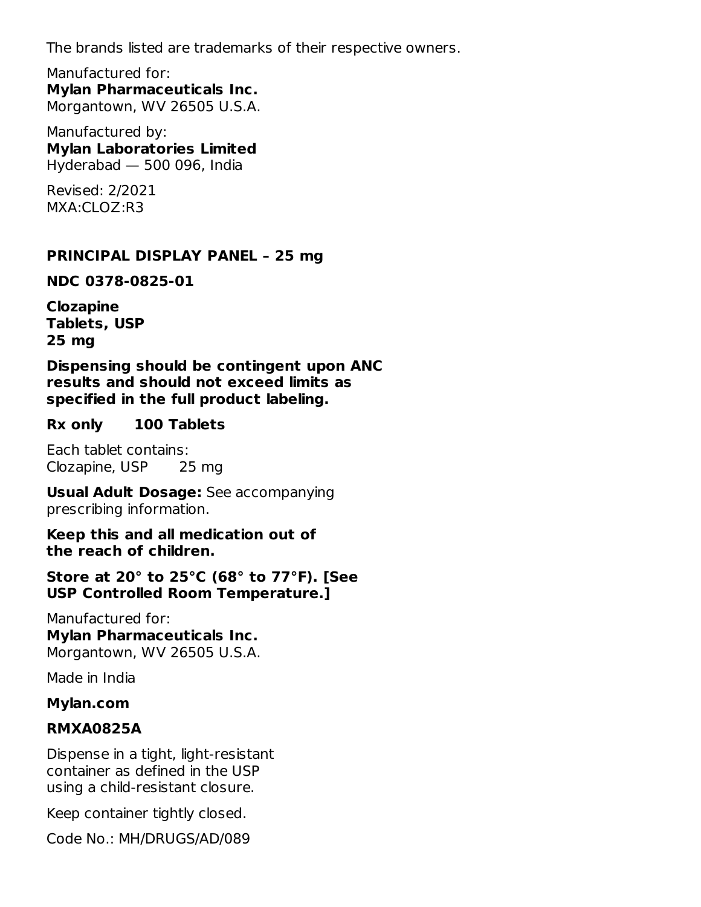The brands listed are trademarks of their respective owners.

Manufactured for: **Mylan Pharmaceuticals Inc.** Morgantown, WV 26505 U.S.A.

Manufactured by: **Mylan Laboratories Limited** Hyderabad — 500 096, India

Revised: 2/2021 MXA:CLOZ:R3

#### **PRINCIPAL DISPLAY PANEL – 25 mg**

**NDC 0378-0825-01**

**Clozapine Tablets, USP 25 mg**

**Dispensing should be contingent upon ANC results and should not exceed limits as specified in the full product labeling.**

#### **Rx only 100 Tablets**

Each tablet contains: Clozapine, USP 25 mg

**Usual Adult Dosage:** See accompanying prescribing information.

**Keep this and all medication out of the reach of children.**

**Store at 20° to 25°C (68° to 77°F). [See USP Controlled Room Temperature.]**

Manufactured for: **Mylan Pharmaceuticals Inc.** Morgantown, WV 26505 U.S.A.

Made in India

#### **Mylan.com**

#### **RMXA0825A**

Dispense in a tight, light-resistant container as defined in the USP using a child-resistant closure.

Keep container tightly closed.

Code No.: MH/DRUGS/AD/089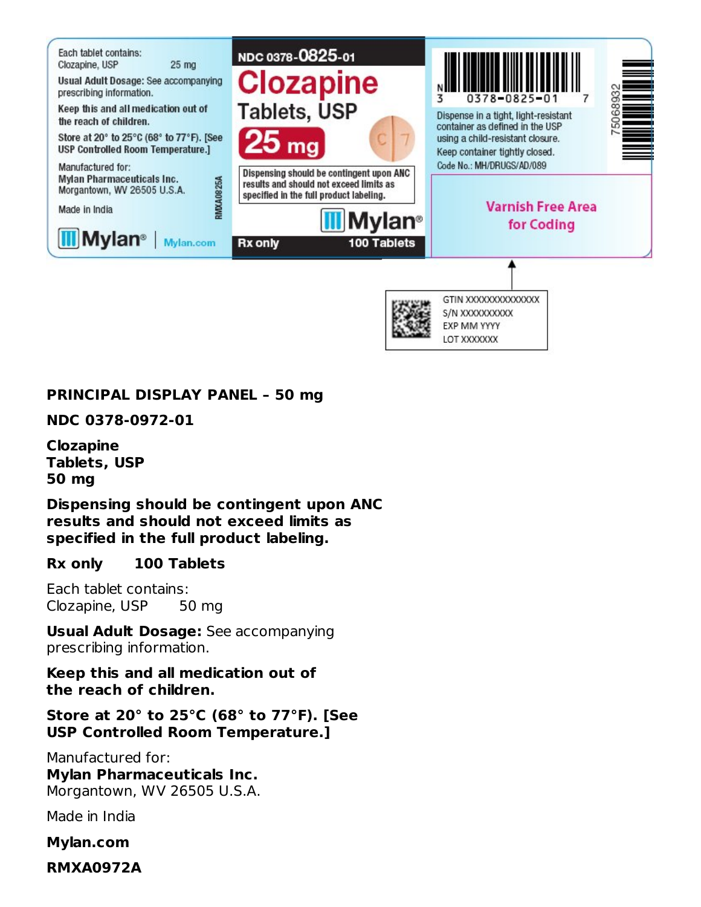

#### **PRINCIPAL DISPLAY PANEL – 50 mg**

**NDC 0378-0972-01**

**Clozapine Tablets, USP 50 mg**

**Dispensing should be contingent upon ANC results and should not exceed limits as specified in the full product labeling.**

#### **Rx only 100 Tablets**

Each tablet contains: Clozapine, USP 50 mg

**Usual Adult Dosage:** See accompanying prescribing information.

**Keep this and all medication out of the reach of children.**

**Store at 20° to 25°C (68° to 77°F). [See USP Controlled Room Temperature.]**

Manufactured for: **Mylan Pharmaceuticals Inc.** Morgantown, WV 26505 U.S.A.

Made in India

**Mylan.com**

**RMXA0972A**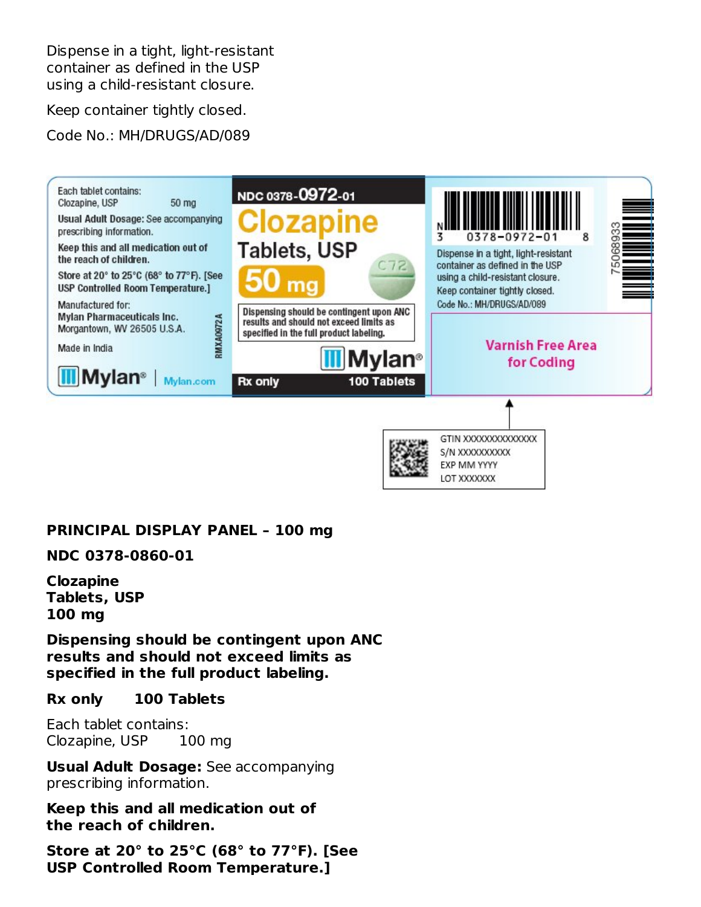Dispense in a tight, light-resistant container as defined in the USP using a child-resistant closure.

Keep container tightly closed.

Code No.: MH/DRUGS/AD/089



#### **PRINCIPAL DISPLAY PANEL – 100 mg**

**NDC 0378-0860-01**

**Clozapine Tablets, USP 100 mg**

**Dispensing should be contingent upon ANC results and should not exceed limits as specified in the full product labeling.**

**Rx only 100 Tablets**

Each tablet contains: Clozapine, USP 100 mg

**Usual Adult Dosage:** See accompanying prescribing information.

**Keep this and all medication out of the reach of children.**

**Store at 20° to 25°C (68° to 77°F). [See USP Controlled Room Temperature.]**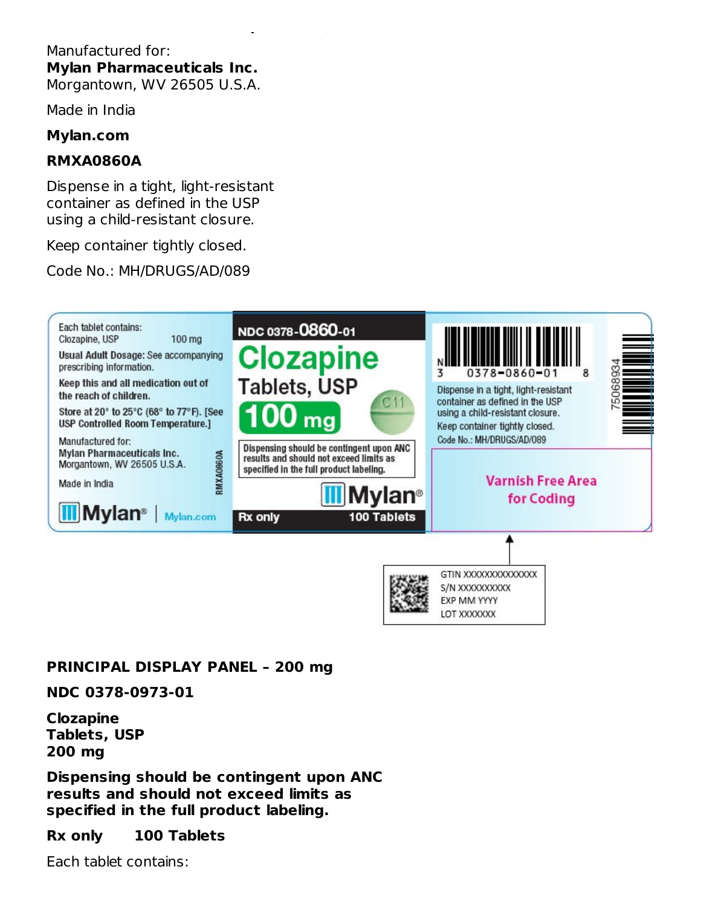#### Manufactured for: **Mylan Pharmaceuticals Inc.** Morgantown, WV 26505 U.S.A.

**USP Controlled Room Temperature.]**

Made in India

#### **Mylan.com**

#### **RMXA0860A**

Dispense in a tight, light-resistant container as defined in the USP using a child-resistant closure.

Keep container tightly closed.

Code No.: MH/DRUGS/AD/089



#### **PRINCIPAL DISPLAY PANEL – 200 mg**

#### **NDC 0378-0973-01**

**Clozapine Tablets, USP 200 mg**

**Dispensing should be contingent upon ANC results and should not exceed limits as specified in the full product labeling.**

#### **Rx only 100 Tablets**

Each tablet contains: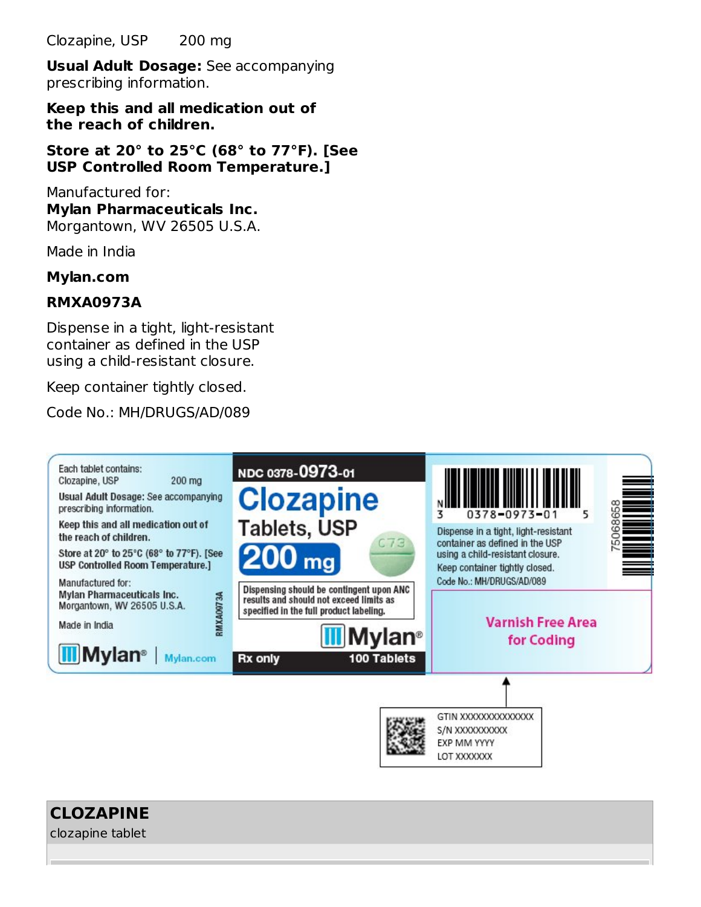Clozapine, USP 200 mg

**Usual Adult Dosage:** See accompanying prescribing information.

**Keep this and all medication out of the reach of children.**

**Store at 20° to 25°C (68° to 77°F). [See USP Controlled Room Temperature.]**

Manufactured for: **Mylan Pharmaceuticals Inc.** Morgantown, WV 26505 U.S.A.

Made in India

#### **Mylan.com**

#### **RMXA0973A**

Dispense in a tight, light-resistant container as defined in the USP using a child-resistant closure.

Keep container tightly closed.

Code No.: MH/DRUGS/AD/089



**CLOZAPINE**

clozapine tablet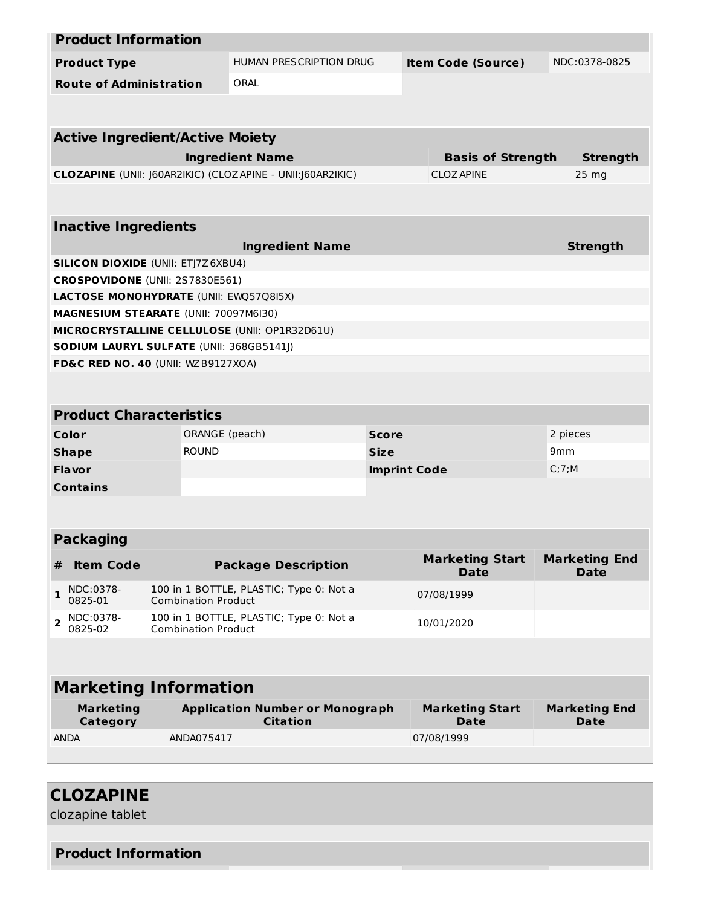|                | <b>Product Information</b>                |                                                                                     |                            |                                                             |                     |  |                                       |                 |                                     |  |
|----------------|-------------------------------------------|-------------------------------------------------------------------------------------|----------------------------|-------------------------------------------------------------|---------------------|--|---------------------------------------|-----------------|-------------------------------------|--|
|                | <b>Product Type</b>                       |                                                                                     |                            | HUMAN PRESCRIPTION DRUG                                     |                     |  | <b>Item Code (Source)</b>             |                 | NDC:0378-0825                       |  |
|                | <b>Route of Administration</b>            |                                                                                     | ORAL                       |                                                             |                     |  |                                       |                 |                                     |  |
|                |                                           |                                                                                     |                            |                                                             |                     |  |                                       |                 |                                     |  |
|                |                                           |                                                                                     |                            |                                                             |                     |  |                                       |                 |                                     |  |
|                | <b>Active Ingredient/Active Moiety</b>    |                                                                                     |                            |                                                             |                     |  |                                       |                 |                                     |  |
|                |                                           |                                                                                     | <b>Ingredient Name</b>     |                                                             |                     |  | <b>Basis of Strength</b>              |                 | <b>Strength</b>                     |  |
|                |                                           |                                                                                     |                            | CLOZAPINE (UNII: J60AR2IKIC) (CLOZAPINE - UNII: J60AR2IKIC) |                     |  | <b>CLOZAPINE</b>                      |                 | $25 \, mg$                          |  |
|                |                                           |                                                                                     |                            |                                                             |                     |  |                                       |                 |                                     |  |
|                | <b>Inactive Ingredients</b>               |                                                                                     |                            |                                                             |                     |  |                                       |                 |                                     |  |
|                |                                           |                                                                                     |                            | <b>Ingredient Name</b>                                      |                     |  |                                       |                 | <b>Strength</b>                     |  |
|                | <b>SILICON DIOXIDE (UNII: ETJ7Z6XBU4)</b> |                                                                                     |                            |                                                             |                     |  |                                       |                 |                                     |  |
|                | CROSPOVIDONE (UNII: 2S7830E561)           |                                                                                     |                            |                                                             |                     |  |                                       |                 |                                     |  |
|                | LACTOSE MONOHYDRATE (UNII: EWQ57Q8I5X)    |                                                                                     |                            |                                                             |                     |  |                                       |                 |                                     |  |
|                | MAGNESIUM STEARATE (UNII: 70097M6I30)     |                                                                                     |                            |                                                             |                     |  |                                       |                 |                                     |  |
|                |                                           |                                                                                     |                            | MICROCRYSTALLINE CELLULOSE (UNII: OP1R32D61U)               |                     |  |                                       |                 |                                     |  |
|                | SODIUM LAURYL SULFATE (UNII: 368GB5141J)  |                                                                                     |                            |                                                             |                     |  |                                       |                 |                                     |  |
|                | FD&C RED NO. 40 (UNII: WZB9127XOA)        |                                                                                     |                            |                                                             |                     |  |                                       |                 |                                     |  |
|                |                                           |                                                                                     |                            |                                                             |                     |  |                                       |                 |                                     |  |
|                | <b>Product Characteristics</b>            |                                                                                     |                            |                                                             |                     |  |                                       |                 |                                     |  |
|                | Color                                     |                                                                                     | ORANGE (peach)             |                                                             | <b>Score</b>        |  |                                       |                 | 2 pieces                            |  |
|                | <b>Shape</b>                              |                                                                                     | <b>ROUND</b>               |                                                             | <b>Size</b>         |  |                                       | 9 <sub>mm</sub> |                                     |  |
|                | <b>Flavor</b>                             |                                                                                     |                            |                                                             | <b>Imprint Code</b> |  |                                       | C;7;M           |                                     |  |
|                | <b>Contains</b>                           |                                                                                     |                            |                                                             |                     |  |                                       |                 |                                     |  |
|                |                                           |                                                                                     |                            |                                                             |                     |  |                                       |                 |                                     |  |
|                | <b>Packaging</b>                          |                                                                                     |                            |                                                             |                     |  |                                       |                 |                                     |  |
| #              | <b>Item Code</b>                          |                                                                                     |                            | <b>Package Description</b>                                  |                     |  | <b>Marketing Start</b><br><b>Date</b> |                 | <b>Marketing End</b><br><b>Date</b> |  |
| 1              | NDC:0378-<br>0825-01                      |                                                                                     | <b>Combination Product</b> | 100 in 1 BOTTLE, PLASTIC; Type 0: Not a<br>07/08/1999       |                     |  |                                       |                 |                                     |  |
| $\overline{2}$ | NDC:0378-<br>0825-02                      | 100 in 1 BOTTLE, PLASTIC; Type 0: Not a<br>10/01/2020<br><b>Combination Product</b> |                            |                                                             |                     |  |                                       |                 |                                     |  |
|                |                                           |                                                                                     |                            |                                                             |                     |  |                                       |                 |                                     |  |
|                | <b>Marketing Information</b>              |                                                                                     |                            |                                                             |                     |  |                                       |                 |                                     |  |
|                | <b>Marketing</b><br>Category              |                                                                                     |                            | <b>Application Number or Monograph</b><br><b>Citation</b>   |                     |  | <b>Marketing Start</b><br><b>Date</b> |                 | <b>Marketing End</b><br><b>Date</b> |  |
| <b>ANDA</b>    |                                           |                                                                                     | ANDA075417                 |                                                             |                     |  | 07/08/1999                            |                 |                                     |  |
|                |                                           |                                                                                     |                            |                                                             |                     |  |                                       |                 |                                     |  |
|                |                                           |                                                                                     |                            |                                                             |                     |  |                                       |                 |                                     |  |

# **CLOZAPINE** clozapine tablet **Product Information**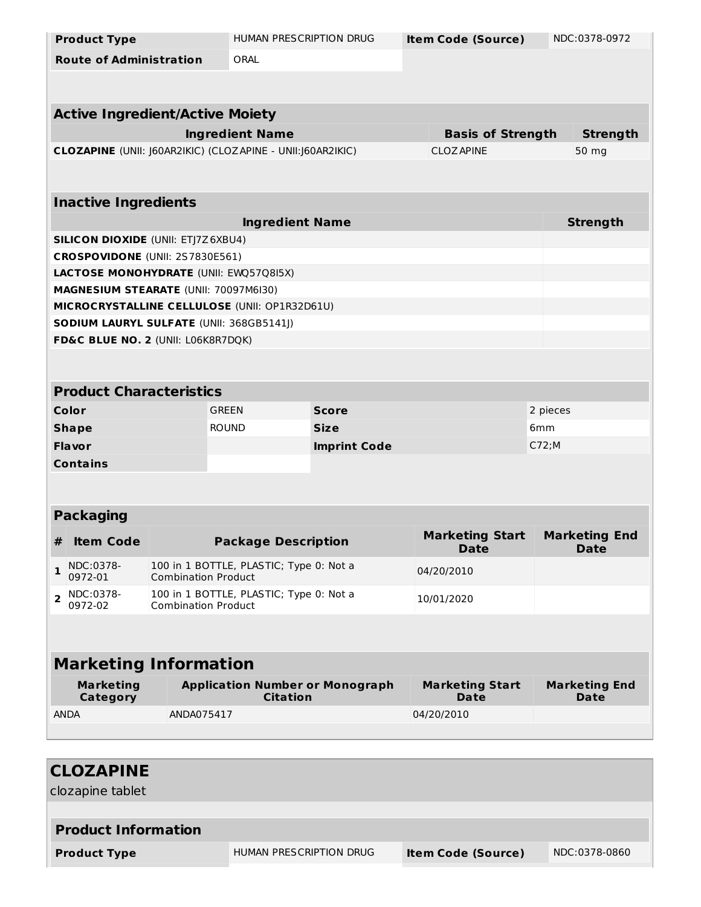| <b>Product Type</b>                                         | <b>HUMAN PRESCRIPTION DRUG</b>                                        |                     | <b>Item Code (Source)</b>             | NDC:0378-0972                       |
|-------------------------------------------------------------|-----------------------------------------------------------------------|---------------------|---------------------------------------|-------------------------------------|
| <b>Route of Administration</b>                              | ORAL                                                                  |                     |                                       |                                     |
|                                                             |                                                                       |                     |                                       |                                     |
|                                                             |                                                                       |                     |                                       |                                     |
| <b>Active Ingredient/Active Moiety</b>                      |                                                                       |                     |                                       |                                     |
|                                                             | <b>Ingredient Name</b>                                                |                     | <b>Basis of Strength</b>              | <b>Strength</b>                     |
| CLOZAPINE (UNII: J60AR2IKIC) (CLOZAPINE - UNII: J60AR2IKIC) |                                                                       |                     | <b>CLOZAPINE</b>                      | 50 mg                               |
|                                                             |                                                                       |                     |                                       |                                     |
| <b>Inactive Ingredients</b>                                 |                                                                       |                     |                                       |                                     |
|                                                             | <b>Ingredient Name</b>                                                |                     |                                       | <b>Strength</b>                     |
| <b>SILICON DIOXIDE (UNII: ETJ7Z6XBU4)</b>                   |                                                                       |                     |                                       |                                     |
| CROSPOVIDONE (UNII: 2S7830E561)                             |                                                                       |                     |                                       |                                     |
| LACTOSE MONOHYDRATE (UNII: EWQ57Q8I5X)                      |                                                                       |                     |                                       |                                     |
| MAGNESIUM STEARATE (UNII: 70097M6I30)                       |                                                                       |                     |                                       |                                     |
| MICROCRYSTALLINE CELLULOSE (UNII: OP1R32D61U)               |                                                                       |                     |                                       |                                     |
| SODIUM LAURYL SULFATE (UNII: 368GB5141J)                    |                                                                       |                     |                                       |                                     |
| FD&C BLUE NO. 2 (UNII: L06K8R7DQK)                          |                                                                       |                     |                                       |                                     |
|                                                             |                                                                       |                     |                                       |                                     |
| <b>Product Characteristics</b>                              |                                                                       |                     |                                       |                                     |
| Color                                                       | <b>GREEN</b>                                                          | <b>Score</b>        |                                       | 2 pieces                            |
| <b>Shape</b>                                                | <b>ROUND</b>                                                          | <b>Size</b>         |                                       | 6mm                                 |
| Flavor                                                      |                                                                       | <b>Imprint Code</b> |                                       | C72;M                               |
| <b>Contains</b>                                             |                                                                       |                     |                                       |                                     |
|                                                             |                                                                       |                     |                                       |                                     |
|                                                             |                                                                       |                     |                                       |                                     |
| <b>Packaging</b>                                            |                                                                       |                     |                                       |                                     |
| <b>Item Code</b><br>#                                       | <b>Package Description</b>                                            |                     | <b>Marketing Start</b>                | <b>Marketing End</b>                |
|                                                             | 100 in 1 BOTTLE, PLASTIC; Type 0: Not a                               |                     | <b>Date</b>                           | <b>Date</b>                         |
| NDC:0378-<br>$\mathbf{1}$<br>0972-01                        | <b>Combination Product</b>                                            |                     | 04/20/2010                            |                                     |
| NDC:0378-<br>2<br>0972-02                                   | 100 in 1 BOTTLE, PLASTIC; Type 0: Not a<br><b>Combination Product</b> |                     | 10/01/2020                            |                                     |
|                                                             |                                                                       |                     |                                       |                                     |
|                                                             |                                                                       |                     |                                       |                                     |
| <b>Marketing Information</b>                                |                                                                       |                     |                                       |                                     |
| <b>Marketing</b><br>Category                                | <b>Application Number or Monograph</b><br><b>Citation</b>             |                     | <b>Marketing Start</b><br><b>Date</b> | <b>Marketing End</b><br><b>Date</b> |
| <b>ANDA</b><br>ANDA075417                                   |                                                                       |                     | 04/20/2010                            |                                     |
|                                                             |                                                                       |                     |                                       |                                     |
|                                                             |                                                                       |                     |                                       |                                     |

| <b>CLOZAPINE</b>           |                         |                           |               |
|----------------------------|-------------------------|---------------------------|---------------|
| clozapine tablet           |                         |                           |               |
|                            |                         |                           |               |
| <b>Product Information</b> |                         |                           |               |
| <b>Product Type</b>        | HUMAN PRESCRIPTION DRUG | <b>Item Code (Source)</b> | NDC:0378-0860 |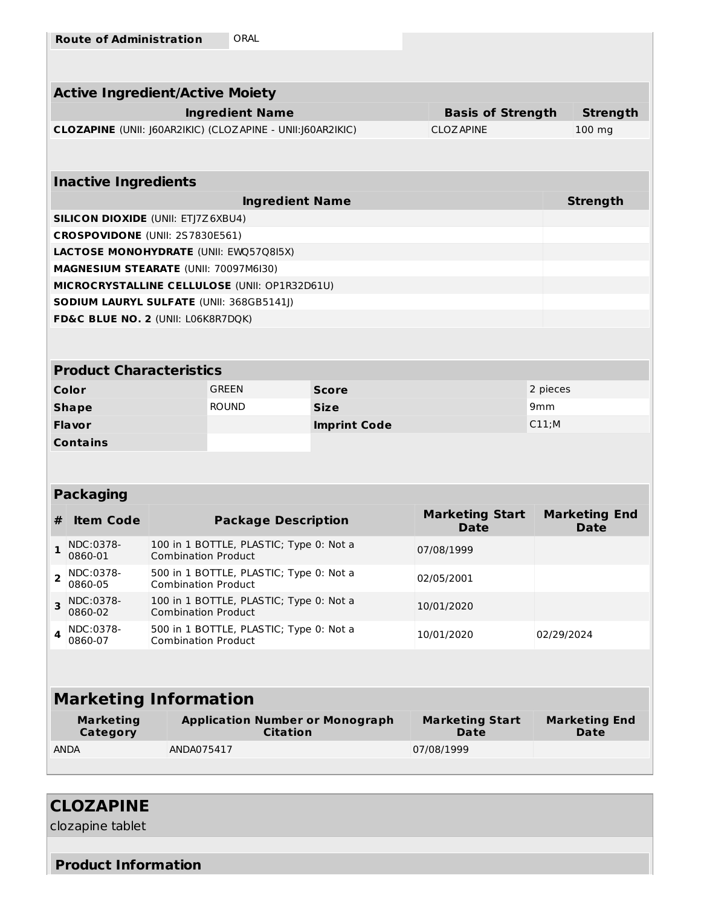|                                                    | <b>Active Ingredient/Active Moiety</b>    |                            |                                                            |                     |                                       |                 |                                     |  |  |
|----------------------------------------------------|-------------------------------------------|----------------------------|------------------------------------------------------------|---------------------|---------------------------------------|-----------------|-------------------------------------|--|--|
| <b>Ingredient Name</b><br><b>Basis of Strength</b> |                                           |                            |                                                            |                     |                                       |                 | <b>Strength</b>                     |  |  |
|                                                    |                                           |                            | CLOZAPINE (UNII: J60AR2IKIC) (CLOZAPINE - UNII:J60AR2IKIC) |                     | <b>CLOZ APINE</b>                     |                 | 100 mg                              |  |  |
|                                                    |                                           |                            |                                                            |                     |                                       |                 |                                     |  |  |
|                                                    |                                           |                            |                                                            |                     |                                       |                 |                                     |  |  |
|                                                    | <b>Inactive Ingredients</b>               |                            |                                                            |                     |                                       |                 |                                     |  |  |
|                                                    | <b>SILICON DIOXIDE (UNII: ETJ7Z6XBU4)</b> |                            | <b>Ingredient Name</b>                                     |                     |                                       |                 | <b>Strength</b>                     |  |  |
|                                                    | CROSPOVIDONE (UNII: 2S7830E561)           |                            |                                                            |                     |                                       |                 |                                     |  |  |
|                                                    |                                           |                            | LACTOSE MONOHYDRATE (UNII: EWQ57Q8I5X)                     |                     |                                       |                 |                                     |  |  |
|                                                    | MAGNESIUM STEARATE (UNII: 70097M6I30)     |                            |                                                            |                     |                                       |                 |                                     |  |  |
|                                                    |                                           |                            | MICROCRYSTALLINE CELLULOSE (UNII: OP1R32D61U)              |                     |                                       |                 |                                     |  |  |
|                                                    |                                           |                            | SODIUM LAURYL SULFATE (UNII: 368GB5141J)                   |                     |                                       |                 |                                     |  |  |
|                                                    | FD&C BLUE NO. 2 (UNII: L06K8R7DQK)        |                            |                                                            |                     |                                       |                 |                                     |  |  |
|                                                    |                                           |                            |                                                            |                     |                                       |                 |                                     |  |  |
|                                                    |                                           |                            |                                                            |                     |                                       |                 |                                     |  |  |
|                                                    | <b>Product Characteristics</b>            |                            |                                                            |                     |                                       |                 |                                     |  |  |
|                                                    | Color                                     |                            | GRFFN                                                      | <b>Score</b>        |                                       |                 | 2 pieces                            |  |  |
|                                                    | <b>Shape</b>                              |                            | <b>ROUND</b>                                               | <b>Size</b>         |                                       | 9 <sub>mm</sub> |                                     |  |  |
|                                                    | <b>Flavor</b>                             |                            |                                                            | <b>Imprint Code</b> |                                       | C11;M           |                                     |  |  |
|                                                    | <b>Contains</b>                           |                            |                                                            |                     |                                       |                 |                                     |  |  |
|                                                    |                                           |                            |                                                            |                     |                                       |                 |                                     |  |  |
|                                                    |                                           |                            |                                                            |                     |                                       |                 |                                     |  |  |
|                                                    | <b>Packaging</b>                          |                            |                                                            |                     |                                       |                 |                                     |  |  |
| #                                                  | <b>Item Code</b>                          |                            | <b>Package Description</b>                                 |                     | <b>Marketing Start</b><br><b>Date</b> |                 | <b>Marketing End</b><br><b>Date</b> |  |  |
| $\mathbf{1}$                                       | NDC:0378-<br>0860-01                      | <b>Combination Product</b> | 100 in 1 BOTTLE, PLASTIC; Type 0: Not a                    |                     | 07/08/1999                            |                 |                                     |  |  |
|                                                    |                                           |                            |                                                            |                     |                                       |                 |                                     |  |  |

|               | $2^{NDC:0378-}$<br>0860-05   | 500 in 1 BOTTLE, PLASTIC; Type 0: Not a<br><b>Combination Product</b> | 02/05/2001 |            |
|---------------|------------------------------|-----------------------------------------------------------------------|------------|------------|
|               | $3$ NDC:0378-<br>$0860 - 02$ | 100 in 1 BOTTLE, PLASTIC; Type 0: Not a<br><b>Combination Product</b> | 10/01/2020 |            |
| $\sim$ $\sim$ | NDC:0378-<br>$0860-07$       | 500 in 1 BOTTLE, PLASTIC; Type 0: Not a<br><b>Combination Product</b> | 10/01/2020 | 02/29/2024 |
|               |                              |                                                                       |            |            |

# **Marketing Information**

| Marketing<br>Category | <b>Application Number or Monograph</b><br>Citation | <b>Marketing Start</b><br>Date | <b>Marketing End</b><br>Date |
|-----------------------|----------------------------------------------------|--------------------------------|------------------------------|
| <b>ANDA</b>           | ANDA075417                                         | 07/08/1999                     |                              |
|                       |                                                    |                                |                              |

# **CLOZAPINE**

clozapine tablet

#### **Product Information**